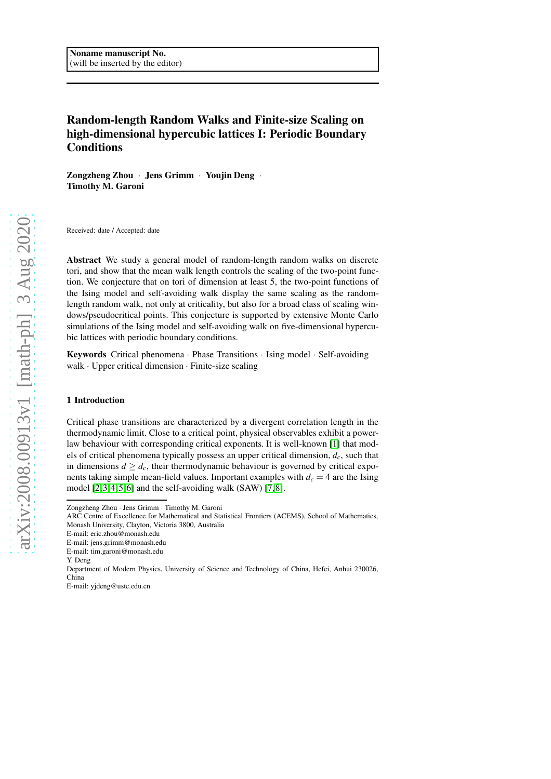# Random-length Random Walks and Finite-size Scaling on high-dimensional hypercubic lattices I: Periodic Boundary Conditions

Zongzheng Zhou · Jens Grimm · Youjin Deng · Timothy M. Garoni

Received: date / Accepted: date

Abstract We study a general model of random-length random walks on discrete tori, and show that the mean walk length controls the scaling of the two-point function. We conjecture that on tori of dimension at least 5, the two-point functions of the Ising model and self-avoiding walk display the same scaling as the randomlength random walk, not only at criticality, but also for a broad class of scaling windows/pseudocritical points. This conjecture is supported by extensive Monte Carlo simulations of the Ising model and self-avoiding walk on five-dimensional hypercubic lattices with periodic boundary conditions.

Keywords Critical phenomena · Phase Transitions · Ising model · Self-avoiding walk · Upper critical dimension · Finite-size scaling

# 1 Introduction

Critical phase transitions are characterized by a divergent correlation length in the thermodynamic limit. Close to a critical point, physical observables exhibit a powerlaw behaviour with corresponding critical exponents. It is well-known [\[1\]](#page-19-0) that models of critical phenomena typically possess an upper critical dimension, *dc*, such that in dimensions  $d \geq d_c$ , their thermodynamic behaviour is governed by critical exponents taking simple mean-field values. Important examples with  $d_c = 4$  are the Ising model [\[2,](#page-19-1)[3,](#page-19-2)[4,](#page-19-3)[5,](#page-19-4)[6\]](#page-19-5) and the self-avoiding walk (SAW) [\[7,](#page-19-6)[8\]](#page-19-7).

Zongzheng Zhou · Jens Grimm · Timothy M. Garoni

ARC Centre of Excellence for Mathematical and Statistical Frontiers (ACEMS), School of Mathematics, Monash University, Clayton, Victoria 3800, Australia

E-mail: eric.zhou@monash.edu

E-mail: jens.grimm@monash.edu

E-mail: tim.garoni@monash.edu

Y. Deng

Department of Modern Physics, University of Science and Technology of China, Hefei, Anhui 230026, China

E-mail: yjdeng@ustc.edu.cn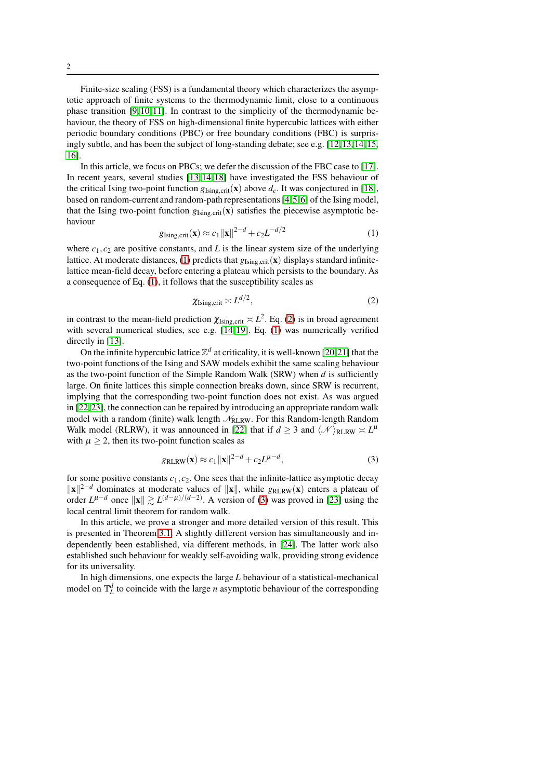Finite-size scaling (FSS) is a fundamental theory which characterizes the asymptotic approach of finite systems to the thermodynamic limit, close to a continuous phase transition [\[9,](#page-19-8)[10,](#page-19-9)[11\]](#page-19-10). In contrast to the simplicity of the thermodynamic behaviour, the theory of FSS on high-dimensional finite hypercubic lattices with either periodic boundary conditions (PBC) or free boundary conditions (FBC) is surprisingly subtle, and has been the subject of long-standing debate; see e.g. [\[12,](#page-19-11)[13,](#page-19-12)[14,](#page-19-13)[15,](#page-19-14) [16\]](#page-19-15).

In this article, we focus on PBCs; we defer the discussion of the FBC case to [\[17\]](#page-19-16). In recent years, several studies [\[13,](#page-19-12)[14,](#page-19-13)[18\]](#page-19-17) have investigated the FSS behaviour of the critical Ising two-point function  $g_{Isine\ crit}(\mathbf{x})$  above  $d_c$ . It was conjectured in [\[18\]](#page-19-17), based on random-current and random-path representations [\[4,](#page-19-3)[5,](#page-19-4)[6\]](#page-19-5) of the Ising model, that the Ising two-point function  $g_{Ising, crit}(x)$  satisfies the piecewise asymptotic behaviour

$$
g_{\text{Ising,crit}}(\mathbf{x}) \approx c_1 \|\mathbf{x}\|^{2-d} + c_2 L^{-d/2} \tag{1}
$$

<span id="page-1-0"></span>where  $c_1$ ,  $c_2$  are positive constants, and L is the linear system size of the underlying lattice. At moderate distances, [\(1\)](#page-1-0) predicts that  $g_{Ising, crit}(\mathbf{x})$  displays standard infinitelattice mean-field decay, before entering a plateau which persists to the boundary. As a consequence of Eq. [\(1\)](#page-1-0), it follows that the susceptibility scales as

<span id="page-1-1"></span>
$$
\chi_{\text{Ising,crit}} \asymp L^{d/2},\tag{2}
$$

in contrast to the mean-field prediction  $\chi_{\text{Ising,crit}} \asymp L^2$ . Eq. [\(2\)](#page-1-1) is in broad agreement with several numerical studies, see e.g. [\[14,](#page-19-13)[19\]](#page-19-18). Eq. [\(1\)](#page-1-0) was numerically verified directly in [\[13\]](#page-19-12).

On the infinite hypercubic lattice  $\mathbb{Z}^d$  at criticality, it is well-known [\[20,](#page-19-19)[21\]](#page-19-20) that the two-point functions of the Ising and SAW models exhibit the same scaling behaviour as the two-point function of the Simple Random Walk (SRW) when *d* is sufficiently large. On finite lattices this simple connection breaks down, since SRW is recurrent, implying that the corresponding two-point function does not exist. As was argued in [\[22,](#page-19-21)[23\]](#page-19-22), the connection can be repaired by introducing an appropriate random walk model with a random (finite) walk length  $\mathcal{N}_{\text{RLRW}}$ . For this Random-length Random Walk model (RLRW), it was announced in [\[22\]](#page-19-21) that if  $d \geq 3$  and  $\langle \mathcal{N} \rangle_{\text{RLRW}} \asymp L^{\mu}$ with  $\mu > 2$ , then its two-point function scales as

<span id="page-1-2"></span>
$$
g_{\text{RLRW}}(\mathbf{x}) \approx c_1 ||\mathbf{x}||^{2-d} + c_2 L^{\mu-d},\tag{3}
$$

for some positive constants  $c_1$ ,  $c_2$ . One sees that the infinite-lattice asymptotic decay  $||\mathbf{x}||^{2-d}$  dominates at moderate values of  $||\mathbf{x}||$ , while *g*<sub>RLRW</sub>(**x**) enters a plateau of order  $L^{\mu-d}$  once  $||\mathbf{x}|| \gtrsim L^{(d-\mu)/(d-2)}$ . A version of [\(3\)](#page-1-2) was proved in [\[23\]](#page-19-22) using the local central limit theorem for random walk.

In this article, we prove a stronger and more detailed version of this result. This is presented in Theorem [3.1.](#page-4-0) A slightly different version has simultaneously and independently been established, via different methods, in [\[24\]](#page-19-23). The latter work also established such behaviour for weakly self-avoiding walk, providing strong evidence for its universality.

In high dimensions, one expects the large *L* behaviour of a statistical-mechanical model on  $\mathbb{T}_L^d$  to coincide with the large *n* asymptotic behaviour of the corresponding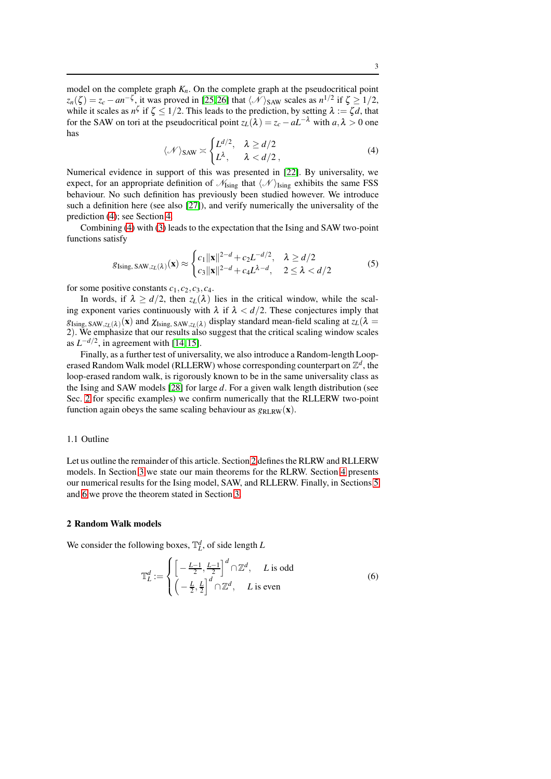model on the complete graph  $K_n$ . On the complete graph at the pseudocritical point  $z_n(\zeta) = z_c - a n^{-\zeta}$ , it was proved in [\[25,](#page-19-24)[26\]](#page-20-0) that  $\langle \mathcal{N} \rangle$ s aw scales as  $n^{1/2}$  if  $\zeta \ge 1/2$ , while it scales as  $n^{\zeta}$  if  $\zeta \le 1/2$ . This leads to the prediction, by setting  $\lambda := \zeta d$ , that for the SAW on tori at the pseudocritical point  $z_L(\lambda) = z_c - aL^{-\lambda}$  with  $a, \lambda > 0$  one has

$$
\langle \mathcal{N} \rangle_{\text{SAW}} \asymp \begin{cases} L^{d/2}, & \lambda \ge d/2 \\ L^{\lambda}, & \lambda < d/2 \end{cases}
$$
 (4)

<span id="page-2-0"></span>Numerical evidence in support of this was presented in [\[22\]](#page-19-21). By universality, we expect, for an appropriate definition of  $\mathcal{N}_{Ising}$  that  $\langle \mathcal{N} \rangle_{Ising}$  exhibits the same FSS behaviour. No such definition has previously been studied however. We introduce such a definition here (see also [\[27\]](#page-20-1)), and verify numerically the universality of the prediction [\(4\)](#page-2-0); see Section [4.](#page-5-0)

Combining [\(4\)](#page-2-0) with [\(3\)](#page-1-2) leads to the expectation that the Ising and SAW two-point functions satisfy

<span id="page-2-2"></span>
$$
g_{\text{Ising, SAW}, z_L(\lambda)}(\mathbf{x}) \approx \begin{cases} c_1 \|\mathbf{x}\|^{2-d} + c_2 L^{-d/2}, & \lambda \ge d/2\\ c_3 \|\mathbf{x}\|^{2-d} + c_4 L^{\lambda-d}, & 2 \le \lambda < d/2 \end{cases}
$$
(5)

for some positive constants  $c_1$ ,  $c_2$ ,  $c_3$ ,  $c_4$ .

In words, if  $\lambda \ge d/2$ , then  $z_L(\lambda)$  lies in the critical window, while the scaling exponent varies continuously with  $\lambda$  if  $\lambda < d/2$ . These conjectures imply that  $g_{\text{Ising, SAW}, z_L(\lambda)}(\mathbf{x})$  and  $\chi_{\text{Ising, SAW}, z_L(\lambda)}$  display standard mean-field scaling at  $z_L(\lambda)$ 2). We emphasize that our results also suggest that the critical scaling window scales as  $L^{-d/2}$ , in agreement with [\[14,](#page-19-13)[15\]](#page-19-14).

Finally, as a further test of universality, we also introduce a Random-length Looperased Random Walk model (RLLERW) whose corresponding counterpart on  $\mathbb{Z}^d$ , the loop-erased random walk, is rigorously known to be in the same universality class as the Ising and SAW models [\[28\]](#page-20-2) for large *d*. For a given walk length distribution (see Sec. [2](#page-2-1) for specific examples) we confirm numerically that the RLLERW two-point function again obeys the same scaling behaviour as  $g_{RLRW}(\mathbf{x})$ .

## 1.1 Outline

Let us outline the remainder of this article. Section [2](#page-2-1) defines the RLRW and RLLERW models. In Section [3](#page-3-0) we state our main theorems for the RLRW. Section [4](#page-5-0) presents our numerical results for the Ising model, SAW, and RLLERW. Finally, in Sections [5](#page-10-0) and [6](#page-13-0) we prove the theorem stated in Section [3.](#page-3-0)

#### <span id="page-2-1"></span>2 Random Walk models

We consider the following boxes,  $\mathbb{T}_L^d$ , of side length *L* 

$$
\mathbb{T}_L^d := \begin{cases}\n\left[ -\frac{L-1}{2}, \frac{L-1}{2} \right]^d \cap \mathbb{Z}^d, & L \text{ is odd} \\
\left( -\frac{L}{2}, \frac{L}{2} \right]^d \cap \mathbb{Z}^d, & L \text{ is even}\n\end{cases} \tag{6}
$$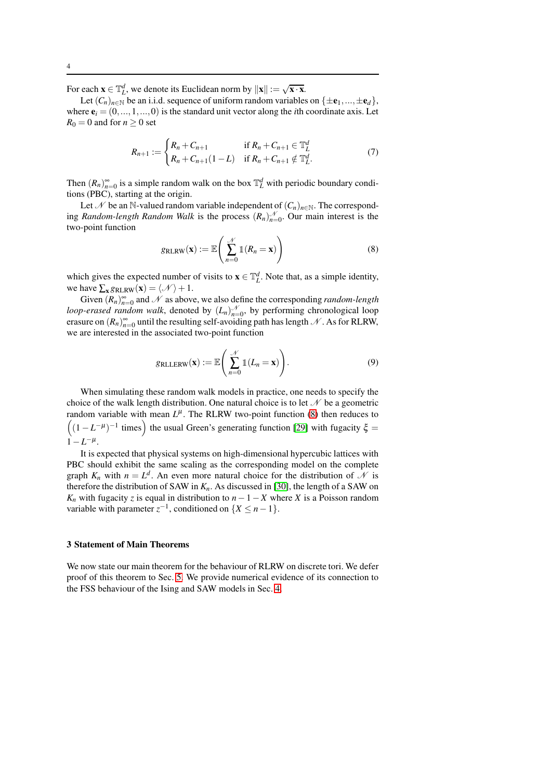For each  $\mathbf{x} \in \mathbb{T}_L^d$ , we denote its Euclidean norm by  $\|\mathbf{x}\| := \sqrt{\mathbf{x} \cdot \mathbf{x}}$ .

Let  $(C_n)_{n\in\mathbb{N}}$  be an i.i.d. sequence of uniform random variables on  $\{\pm e_1, ..., \pm e_d\}$ , where  $e_i = (0, ..., 1, ..., 0)$  is the standard unit vector along the *i*th coordinate axis. Let  $R_0 = 0$  and for  $n \geq 0$  set

$$
R_{n+1} := \begin{cases} R_n + C_{n+1} & \text{if } R_n + C_{n+1} \in \mathbb{T}_L^d \\ R_n + C_{n+1}(1-L) & \text{if } R_n + C_{n+1} \notin \mathbb{T}_L^d. \end{cases} \tag{7}
$$

Then  $(R_n)_{n=0}^{\infty}$  is a simple random walk on the box  $\mathbb{T}_L^d$  with periodic boundary conditions (PBC), starting at the origin.

Let N be an N-valued random variable independent of  $(C_n)_{n\in\mathbb{N}}$ . The corresponding *Random-length Random Walk* is the process  $(R_n)_{n=0}^{\mathcal{N}}$ . Our main interest is the two-point function

<span id="page-3-1"></span>
$$
g_{\text{RLRW}}(\mathbf{x}) := \mathbb{E}\left(\sum_{n=0}^{\mathcal{N}} \mathbb{1}(R_n = \mathbf{x})\right)
$$
(8)

which gives the expected number of visits to  $\mathbf{x} \in \mathbb{T}_L^d$ . Note that, as a simple identity, we have  $\sum_{\mathbf{x}} g_{\text{RLRW}}(\mathbf{x}) = \langle \mathcal{N} \rangle + 1$ .

Given  $(R_n)_{n=0}^{\infty}$  and  $\mathcal N$  as above, we also define the corresponding *random-length loop-erased random walk*, denoted by  $(L_n)_{n=0}^{\mathcal{N}}$  $\mathcal{N}_{n=0}$ , by performing chronological loop erasure on  $(R_n)_{n=0}^{\infty}$  until the resulting self-avoiding path has length N. As for RLRW, we are interested in the associated two-point function

$$
g_{\text{RLLERW}}(\mathbf{x}) := \mathbb{E}\left(\sum_{n=0}^{\mathcal{N}} \mathbb{1}(L_n = \mathbf{x})\right).
$$
 (9)

When simulating these random walk models in practice, one needs to specify the choice of the walk length distribution. One natural choice is to let  $\mathcal N$  be a geometric random variable with mean  $L^{\mu}$ . The RLRW two-point function [\(8\)](#page-3-1) then reduces to  $(1 - L^{-\mu})^{-1}$  times) the usual Green's generating function [\[29\]](#page-20-3) with fugacity  $\xi =$  $1 - L^{-\mu}$ .

It is expected that physical systems on high-dimensional hypercubic lattices with PBC should exhibit the same scaling as the corresponding model on the complete graph  $K_n$  with  $n = L^d$ . An even more natural choice for the distribution of  $\mathcal N$  is therefore the distribution of SAW in  $K_n$ . As discussed in [\[30\]](#page-20-4), the length of a SAW on *K<sub>n</sub>* with fugacity *z* is equal in distribution to  $n-1-X$  where *X* is a Poisson random variable with parameter  $z^{-1}$ , conditioned on  $\{X \leq n-1\}$ .

#### <span id="page-3-0"></span>3 Statement of Main Theorems

We now state our main theorem for the behaviour of RLRW on discrete tori. We defer proof of this theorem to Sec. [5.](#page-10-0) We provide numerical evidence of its connection to the FSS behaviour of the Ising and SAW models in Sec. [4.](#page-5-0)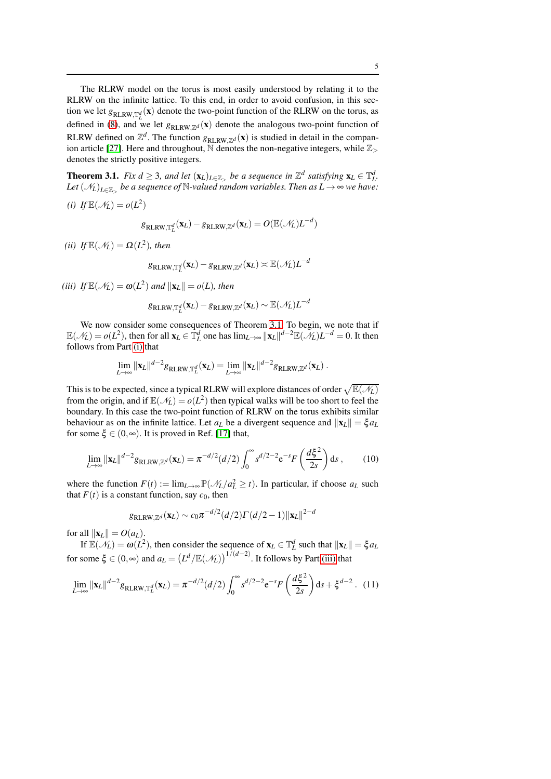The RLRW model on the torus is most easily understood by relating it to the RLRW on the infinite lattice. To this end, in order to avoid confusion, in this section we let  $g_{RLRW, \mathbb{T}_L^d}(\mathbf{x})$  denote the two-point function of the RLRW on the torus, as defined in [\(8\)](#page-3-1), and we let  $g_{RLRW,Z^d}(\mathbf{x})$  denote the analogous two-point function of RLRW defined on  $\mathbb{Z}^d$ . The function  $g_{RLRW, \mathbb{Z}^d}(\mathbf{x})$  is studied in detail in the compan-ion article [\[27\]](#page-20-1). Here and throughout,  $\overline{N}$  denotes the non-negative integers, while  $\mathbb{Z}_{>0}$ denotes the strictly positive integers.

<span id="page-4-0"></span>**Theorem 3.1.** *Fix d*  $\geq$  3*, and let*  $(\mathbf{x}_L)_{L \in \mathbb{Z}_>}$  *be a sequence in*  $\mathbb{Z}^d$  *satisfying*  $\mathbf{x}_L \in \mathbb{T}_L^d$ . Let  $(\mathscr{N}_L)_{L\in\mathbb{Z}_{>}}$  be a sequence of  $\mathbb{N}$ -valued random variables. Then as  $L\to\infty$  we have:

<span id="page-4-1"></span>(*i*) If  $\mathbb{E}(\mathcal{N}_L) = o(L^2)$ 

$$
g_{\text{RLRW},\mathbb{T}_L^d}(\mathbf{x}_L) - g_{\text{RLRW},\mathbb{Z}^d}(\mathbf{x}_L) = O(\mathbb{E}(\mathscr{N}_L) L^{-d})
$$

<span id="page-4-3"></span>*(ii)* If  $\mathbb{E}(\mathcal{N}_L) = \Omega(L^2)$ , then

$$
g_{\text{RLRW},\mathbb{T}_L^d}(\mathbf{x}_L) - g_{\text{RLRW},\mathbb{Z}^d}(\mathbf{x}_L) \asymp \mathbb{E}(\mathcal{N}_L) L^{-d}
$$

<span id="page-4-2"></span>(*iii*)  $If \mathbb{E}(\mathcal{N}_L) = \omega(L^2)$  *and*  $\|\mathbf{x}_L\| = o(L)$ *, then* 

$$
g_{\text{RLRW},\mathbb{T}_L^d}(\mathbf{x}_L) - g_{\text{RLRW},\mathbb{Z}^d}(\mathbf{x}_L) \sim \mathbb{E}(\mathcal{N}_L) L^{-d}
$$

We now consider some consequences of Theorem [3.1.](#page-4-0) To begin, we note that if  $\mathbb{E}(\mathcal{N}_L) = o(L^2)$ , then for all  $\mathbf{x}_L \in \mathbb{T}_L^d$  one has  $\lim_{L \to \infty} ||\mathbf{x}_L||^{d-2}\mathbb{E}(\mathcal{N}_L)L^{-d} = 0$ . It then follows from Part [\(i\)](#page-4-1) that

$$
\lim_{L\to\infty} ||\mathbf{x}_L||^{d-2}g_{\text{RLRW},\mathbb{T}_L^d}(\mathbf{x}_L)=\lim_{L\to\infty} ||\mathbf{x}_L||^{d-2}g_{\text{RLRW},\mathbb{Z}^d}(\mathbf{x}_L).
$$

This is to be expected, since a typical RLRW will explore distances of order  $\sqrt{\mathbb{E}(\mathscr{N}_L)}$ from the origin, and if  $\mathbb{E}(\mathcal{N}_L) = o(L^2)$  then typical walks will be too short to feel the boundary. In this case the two-point function of RLRW on the torus exhibits similar behaviour as on the infinite lattice. Let  $a_L$  be a divergent sequence and  $||\mathbf{x}_L|| = \xi a_L$ for some  $\xi \in (0, \infty)$ . It is proved in Ref. [\[17\]](#page-19-16) that,

$$
\lim_{L \to \infty} ||\mathbf{x}_L||^{d-2} g_{\text{RLRW}, \mathbb{Z}^d}(\mathbf{x}_L) = \pi^{-d/2} (d/2) \int_0^\infty s^{d/2 - 2} e^{-s} F\left(\frac{d\xi^2}{2s}\right) ds ,\qquad (10)
$$

where the function  $F(t) := \lim_{L \to \infty} \mathbb{P}(\mathcal{N}_L/a_L^2 \ge t)$ . In particular, if choose  $a_L$  such that  $F(t)$  is a constant function, say  $c_0$ , then

$$
g_{\text{RLRW},\mathbb{Z}^d}(\mathbf{x}_L) \sim c_0 \pi^{-d/2} (d/2) \Gamma(d/2 - 1) ||\mathbf{x}_L||^{2-d}
$$

for all  $\|\mathbf{x}_L\| = O(a_L)$ .

If  $\mathbb{E}(\mathcal{N}_L) = \omega(L^2)$ , then consider the sequence of  $\mathbf{x}_L \in \mathbb{T}_L^d$  such that  $\|\mathbf{x}_L\| = \xi a_L$ for some  $\xi \in (0, \infty)$  and  $a_L = (L^d / \mathbb{E}(\mathcal{N}_L))^{1/(d-2)}$ . It follows by Part [\(iii\)](#page-4-2) that

$$
\lim_{L \to \infty} \|\mathbf{x}_L\|^{d-2} g_{\text{RLRW,T}^d_L}(\mathbf{x}_L) = \pi^{-d/2} (d/2) \int_0^\infty s^{d/2 - 2} e^{-s} F\left(\frac{d\xi^2}{2s}\right) ds + \xi^{d-2} \,. \tag{11}
$$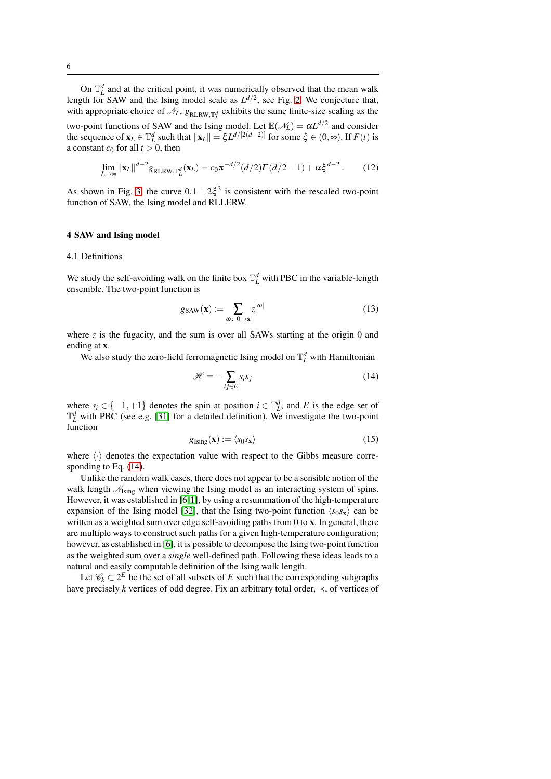On  $\mathbb{T}_L^d$  and at the critical point, it was numerically observed that the mean walk length for SAW and the Ising model scale as  $L^{d/2}$ , see Fig. [2.](#page-8-0) We conjecture that, with appropriate choice of  $\mathcal{N}_L$ ,  $g_{RLRW,T_L^d}$  exhibits the same finite-size scaling as the two-point functions of SAW and the Ising model. Let  $\mathbb{E}(\mathcal{N}_L) = \alpha L^{d/2}$  and consider the sequence of  $\mathbf{x}_L \in \mathbb{T}_L^d$  such that  $\|\mathbf{x}_L\| = \xi L^{d/[2(d-2)]}$  for some  $\xi \in (0, \infty)$ . If  $F(t)$  is a constant  $c_0$  for all  $t > 0$ , then

$$
\lim_{L \to \infty} \|\mathbf{x}_L\|^{d-2} g_{\text{RLRW}, \mathbb{T}_L^d}(\mathbf{x}_L) = c_0 \pi^{-d/2} (d/2) \Gamma(d/2 - 1) + \alpha \xi^{d-2}.
$$
 (12)

As shown in Fig. [3,](#page-8-1) the curve  $0.1 + 2\xi^3$  is consistent with the rescaled two-point function of SAW, the Ising model and RLLERW.

#### <span id="page-5-0"></span>4 SAW and Ising model

### 4.1 Definitions

We study the self-avoiding walk on the finite box  $\mathbb{T}_L^d$  with PBC in the variable-length ensemble. The two-point function is

$$
g_{\text{SAW}}(\mathbf{x}) := \sum_{\omega \colon 0 \to \mathbf{x}} z^{|\omega|} \tag{13}
$$

where  $z$  is the fugacity, and the sum is over all SAWs starting at the origin 0 and ending at x.

We also study the zero-field ferromagnetic Ising model on  $\mathbb{T}_L^d$  with Hamiltonian

<span id="page-5-1"></span>
$$
\mathcal{H} = -\sum_{ij \in E} s_i s_j \tag{14}
$$

where  $s_i \in \{-1, +1\}$  denotes the spin at position  $i \in \mathbb{T}_L^d$ , and *E* is the edge set of  $\mathbb{T}_L^d$  with PBC (see e.g. [\[31\]](#page-20-5) for a detailed definition). We investigate the two-point function

$$
g_{\text{Ising}}(\mathbf{x}) := \langle s_0 s_{\mathbf{x}} \rangle \tag{15}
$$

where  $\langle \cdot \rangle$  denotes the expectation value with respect to the Gibbs measure corresponding to Eq. [\(14\)](#page-5-1).

Unlike the random walk cases, there does not appear to be a sensible notion of the walk length  $\mathcal{N}_{\text{Ising}}$  when viewing the Ising model as an interacting system of spins. However, it was established in [\[6,](#page-19-5)[1\]](#page-19-0), by using a resummation of the high-temperature expansion of the Ising model [\[32\]](#page-20-6), that the Ising two-point function  $\langle s_0 s_x \rangle$  can be written as a weighted sum over edge self-avoiding paths from 0 to x. In general, there are multiple ways to construct such paths for a given high-temperature configuration; however, as established in [\[6\]](#page-19-5), it is possible to decompose the Ising two-point function as the weighted sum over a *single* well-defined path. Following these ideas leads to a natural and easily computable definition of the Ising walk length.

Let  $\mathcal{C}_k \subset 2^E$  be the set of all subsets of *E* such that the corresponding subgraphs have precisely *k* vertices of odd degree. Fix an arbitrary total order,  $\prec$ , of vertices of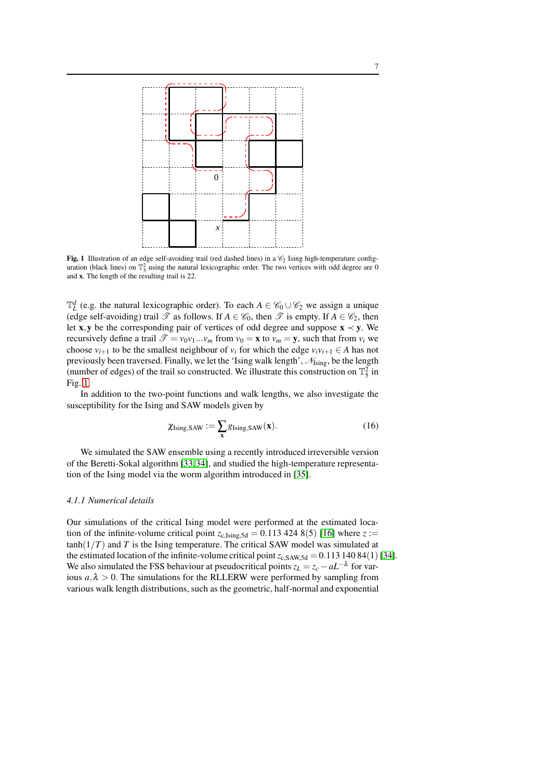

<span id="page-6-0"></span>Fig. 1 Illustration of an edge self-avoiding trail (red dashed lines) in a  $\mathcal{C}_2$  Ising high-temperature configuration (black lines) on  $\mathbb{T}_5^2$  using the natural lexicographic order. The two vertices with odd degree are 0 and x. The length of the resulting trail is 22.

 $\mathbb{T}_L^d$  (e.g. the natural lexicographic order). To each  $A \in \mathscr{C}_0 \cup \mathscr{C}_2$  we assign a unique (edge self-avoiding) trail  $\mathscr T$  as follows. If  $A \in \mathscr C_0$ , then  $\mathscr T$  is empty. If  $A \in \mathscr C_2$ , then let x,y be the corresponding pair of vertices of odd degree and suppose  $x \prec y$ . We recursively define a trail  $\mathcal{T} = v_0v_1...v_m$  from  $v_0 = \mathbf{x}$  to  $v_m = \mathbf{y}$ , such that from  $v_i$  we choose  $v_{i+1}$  to be the smallest neighbour of  $v_i$  for which the edge  $v_i v_{i+1} \in A$  has not previously been traversed. Finally, we let the 'Ising walk length',  $\mathcal{N}_{\text{Isine}}$ , be the length (number of edges) of the trail so constructed. We illustrate this construction on  $\mathbb{T}_5^2$  in Fig. [1.](#page-6-0)

In addition to the two-point functions and walk lengths, we also investigate the susceptibility for the Ising and SAW models given by

$$
\chi_{\text{Ising,SAW}} := \sum_{\mathbf{x}} g_{\text{Ising,SAW}}(\mathbf{x}).\tag{16}
$$

We simulated the SAW ensemble using a recently introduced irreversible version of the Beretti-Sokal algorithm [\[33,](#page-20-7)[34\]](#page-20-8), and studied the high-temperature representation of the Ising model via the worm algorithm introduced in [\[35\]](#page-20-9).

## *4.1.1 Numerical details*

Our simulations of the critical Ising model were performed at the estimated location of the infinite-volume critical point  $z_{c,Ising,5d} = 0.113\,424\,8(5)$  [\[16\]](#page-19-15) where  $z :=$  $tanh(1/T)$  and *T* is the Ising temperature. The critical SAW model was simulated at the estimated location of the infinite-volume critical point  $z_{c,SAW,5d} = 0.11314084(1)$  [\[34\]](#page-20-8). We also simulated the FSS behaviour at pseudocritical points  $z_L = z_c - aL^{-\lambda}$  for various  $a, \lambda > 0$ . The simulations for the RLLERW were performed by sampling from various walk length distributions, such as the geometric, half-normal and exponential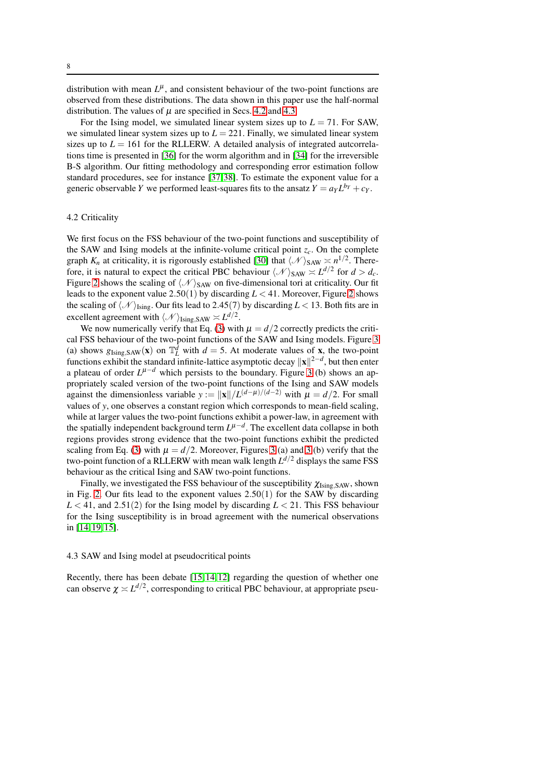distribution with mean  $L^{\mu}$ , and consistent behaviour of the two-point functions are observed from these distributions. The data shown in this paper use the half-normal distribution. The values of  $\mu$  are specified in Secs. [4.2](#page-7-0) and [4.3.](#page-7-1)

For the Ising model, we simulated linear system sizes up to  $L = 71$ . For SAW, we simulated linear system sizes up to  $L = 221$ . Finally, we simulated linear system sizes up to  $L = 161$  for the RLLERW. A detailed analysis of integrated autcorrelations time is presented in [\[36\]](#page-20-10) for the worm algorithm and in [\[34\]](#page-20-8) for the irreversible B-S algorithm. Our fitting methodology and corresponding error estimation follow standard procedures, see for instance [\[37,](#page-20-11)[38\]](#page-20-12). To estimate the exponent value for a generic observable *Y* we performed least-squares fits to the ansatz  $Y = a_Y L^{b_Y} + c_Y$ .

## <span id="page-7-0"></span>4.2 Criticality

We first focus on the FSS behaviour of the two-point functions and susceptibility of the SAW and Ising models at the infinite-volume critical point  $z_c$ . On the complete graph  $K_n$  at criticality, it is rigorously established [\[30\]](#page-20-4) that  $\langle \mathcal{N} \rangle_{\text{SAW}} \geq n^{1/2}$ . Therefore, it is natural to expect the critical PBC behaviour  $\langle N \rangle_{SAW} \approx L^{d/2}$  for  $d > d_c$ . Figure [2](#page-8-0) shows the scaling of  $\langle N \rangle$ <sub>SAW</sub> on five-dimensional tori at criticality. Our fit leads to the exponent value 2.50(1) by discarding *L* < 41. Moreover, Figure [2](#page-8-0) shows the scaling of  $\langle N \rangle_{\text{Ising}}$ . Our fits lead to 2.45(7) by discarding *L* < 13. Both fits are in excellent agreement with  $\langle \mathcal{N} \rangle$ <sub>Ising,SAW</sub>  $\asymp L^{d/2}$ .

We now numerically verify that Eq. [\(3\)](#page-1-2) with  $\mu = d/2$  correctly predicts the critical FSS behaviour of the two-point functions of the SAW and Ising models. Figure [3](#page-8-1) (a) shows  $g_{\text{Ising,SAW}}(\mathbf{x})$  on  $\mathbb{T}_L^d$  with  $d = 5$ . At moderate values of **x**, the two-point functions exhibit the standard infinite-lattice asymptotic decay  $||\mathbf{x}||^{2-d}$ , but then enter a plateau of order  $L^{\mu-d}$  which persists to the boundary. Figure [3](#page-8-1) (b) shows an appropriately scaled version of the two-point functions of the Ising and SAW models against the dimensionless variable *y* :=  $||\mathbf{x}||/L^{(d-\mu)/(d-2)}$  with  $\mu = d/2$ . For small values of *y*, one observes a constant region which corresponds to mean-field scaling, while at larger values the two-point functions exhibit a power-law, in agreement with the spatially independent background term  $L^{\mu-d}$ . The excellent data collapse in both regions provides strong evidence that the two-point functions exhibit the predicted scaling from Eq. [\(3\)](#page-1-2) with  $\mu = d/2$ . Moreover, Figures [3](#page-8-1) (a) and 3 (b) verify that the two-point function of a RLLERW with mean walk length *L <sup>d</sup>*/<sup>2</sup> displays the same FSS behaviour as the critical Ising and SAW two-point functions.

Finally, we investigated the FSS behaviour of the susceptibility  $\chi_{\text{Ising,SAW}}$ , shown in Fig. [2.](#page-8-0) Our fits lead to the exponent values  $2.50(1)$  for the SAW by discarding *L* < 41, and 2.51(2) for the Ising model by discarding *L* < 21. This FSS behaviour for the Ising susceptibility is in broad agreement with the numerical observations in [\[14,](#page-19-13)[19,](#page-19-18)[15\]](#page-19-14).

#### <span id="page-7-1"></span>4.3 SAW and Ising model at pseudocritical points

Recently, there has been debate [\[15,](#page-19-14)[14,](#page-19-13)[12\]](#page-19-11) regarding the question of whether one can observe  $\chi \asymp L^{d/2}$ , corresponding to critical PBC behaviour, at appropriate pseu-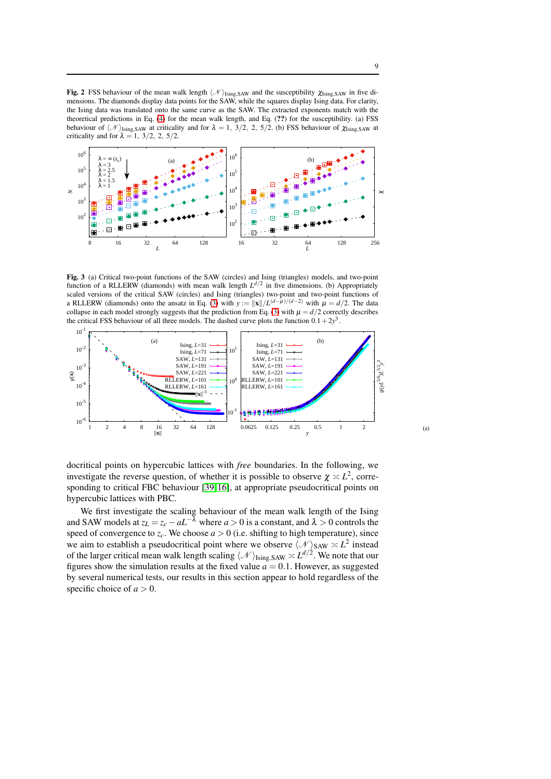<span id="page-8-0"></span>**Fig. 2** FSS behaviour of the mean walk length  $\langle N \rangle_{\text{Ising,SAW}}$  and the susceptibility  $\chi_{\text{Ising,SAW}}$  in five dimensions. The diamonds display data points for the SAW, while the squares display Ising data. For clarity, the Ising data was translated onto the same curve as the SAW. The extracted exponents match with the theoretical predictions in Eq. [\(4\)](#page-2-0) for the mean walk length, and Eq. (??) for the susceptibility. (a) FSS behaviour of  $\langle N \rangle_{\text{Ising,SAW}}$  at criticality and for  $\lambda = 1$ ,  $3/2$ , 2, 5/2. (b) FSS behaviour of  $\chi_{\text{Ising,SAW}}$  at criticality and for  $\lambda = 1, 3/2, 2, 5/2$ .



<span id="page-8-1"></span>Fig. 3 (a) Critical two-point functions of the SAW (circles) and Ising (triangles) models, and two-point function of a RLLERW (diamonds) with mean walk length  $L^{d/2}$  in five dimensions. (b) Appropriately scaled versions of the critical SAW (circles) and Ising (triangles) two-point and two-point functions of a RLLERW (diamonds) onto the ansatz in Eq. [\(3\)](#page-1-2) with  $y := ||\mathbf{x}||/L^{(d-\mu)/(d-2)}$  with  $\mu = d/2$ . The data collapse in each model strongly suggests that the prediction from Eq. [\(3\)](#page-1-2) with  $\mu = d/2$  correctly describes the critical FSS behaviour of all three models. The dashed curve plots the function  $0.1+2y<sup>3</sup>$ .



docritical points on hypercubic lattices with *free* boundaries. In the following, we investigate the reverse question, of whether it is possible to observe  $\chi \approx L^2$ , corresponding to critical FBC behaviour [\[39,](#page-20-13)[16\]](#page-19-15), at appropriate pseudocritical points on hypercubic lattices with PBC.

We first investigate the scaling behaviour of the mean walk length of the Ising and SAW models at  $z_L = z_c - aL^{-\overline{\lambda}}$  where  $a > 0$  is a constant, and  $\lambda > 0$  controls the speed of convergence to  $z_c$ . We choose  $a > 0$  (i.e. shifting to high temperature), since we aim to establish a pseudocritical point where we observe  $\langle N \rangle_{\text{SAW}} \approx L^2$  instead of the larger critical mean walk length scaling  $\langle N \rangle_{\text{Ising,SAW}} \asymp L^{d/2}$ . We note that our figures show the simulation results at the fixed value  $a = 0.1$ . However, as suggested by several numerical tests, our results in this section appear to hold regardless of the specific choice of  $a > 0$ .

9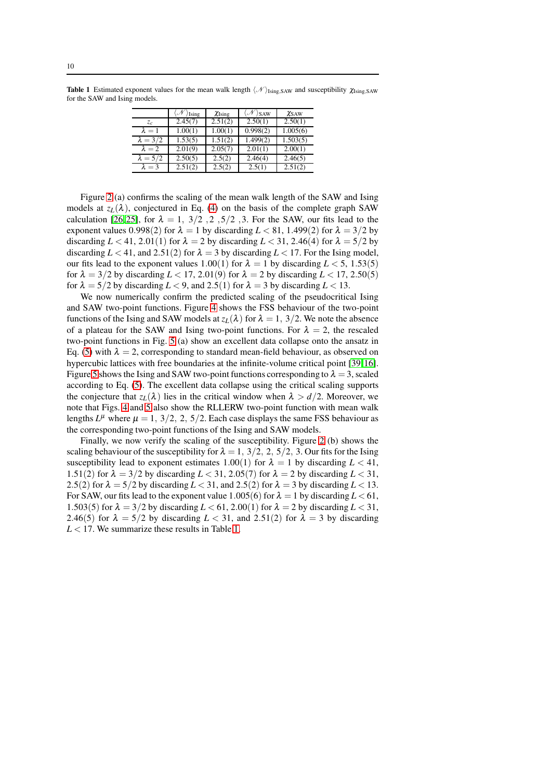|                 | Ising   | $\chi_{\text{Ising}}$ | $\rangle$ SAW | $\chi$ SAW |
|-----------------|---------|-----------------------|---------------|------------|
| $z_c$           | 2.45(7) | 2.51(2)               | 2.50(1)       | 2.50(1)    |
| $\lambda = 1$   | 1.00(1) | 1.00(1)               | 0.998(2)      | 1.005(6)   |
| $\lambda = 3/2$ | 1.53(5) | 1.51(2)               | 1.499(2)      | 1.503(5)   |
| $\lambda = 2$   | 2.01(9) | 2.05(7)               | 2.01(1)       | 2.00(1)    |
| $\lambda = 5/2$ | 2.50(5) | 2.5(2)                | 2.46(4)       | 2.46(5)    |
| $\lambda = 3$   | 2.51(2) | 2.5(2)                | 2.5(1)        | 2.51(2)    |

<span id="page-9-0"></span>**Table 1** Estimated exponent values for the mean walk length  $\langle N \rangle_{\text{Isine,SAW}}$  and susceptibility  $\chi_{\text{Isine,SAW}}$ for the SAW and Ising models.

Figure [2](#page-8-0) (a) confirms the scaling of the mean walk length of the SAW and Ising models at  $z_L(\lambda)$ , conjectured in Eq. [\(4\)](#page-2-0) on the basis of the complete graph SAW calculation [\[26,](#page-20-0)[25\]](#page-19-24), for  $\lambda = 1$ ,  $3/2$ ,  $2$ ,  $5/2$ , 3. For the SAW, our fits lead to the exponent values 0.998(2) for  $\lambda = 1$  by discarding  $L < 81$ , 1.499(2) for  $\lambda = 3/2$  by discarding  $L < 41$ , 2.01(1) for  $\lambda = 2$  by discarding  $L < 31$ , 2.46(4) for  $\lambda = 5/2$  by discarding  $L < 41$ , and 2.51(2) for  $\lambda = 3$  by discarding  $L < 17$ . For the Ising model, our fits lead to the exponent values 1.00(1) for  $\lambda = 1$  by discarding  $L < 5$ , 1.53(5) for  $\lambda = 3/2$  by discarding  $L < 17, 2.01(9)$  for  $\lambda = 2$  by discarding  $L < 17, 2.50(5)$ for  $\lambda = 5/2$  by discarding  $L < 9$ , and 2.5(1) for  $\lambda = 3$  by discarding  $L < 13$ .

We now numerically confirm the predicted scaling of the pseudocritical Ising and SAW two-point functions. Figure [4](#page-10-1) shows the FSS behaviour of the two-point functions of the Ising and SAW models at  $z_L(\lambda)$  for  $\lambda = 1$ , 3/2. We note the absence of a plateau for the SAW and Ising two-point functions. For  $\lambda = 2$ , the rescaled two-point functions in Fig. [5](#page-10-2) (a) show an excellent data collapse onto the ansatz in Eq. [\(5\)](#page-2-2) with  $\lambda = 2$ , corresponding to standard mean-field behaviour, as observed on hypercubic lattices with free boundaries at the infinite-volume critical point [\[39,](#page-20-13)[16\]](#page-19-15). Figure [5](#page-10-2) shows the Ising and SAW two-point functions corresponding to  $\lambda = 3$ , scaled according to Eq. [\(5\)](#page-2-2). The excellent data collapse using the critical scaling supports the conjecture that  $z_L(\lambda)$  lies in the critical window when  $\lambda > d/2$ . Moreover, we note that Figs. [4](#page-10-1) and [5](#page-10-2) also show the RLLERW two-point function with mean walk lengths  $L^{\mu}$  where  $\mu = 1, 3/2, 2, 5/2$ . Each case displays the same FSS behaviour as the corresponding two-point functions of the Ising and SAW models.

Finally, we now verify the scaling of the susceptibility. Figure [2](#page-8-0) (b) shows the scaling behaviour of the susceptibility for  $\lambda = 1, 3/2, 2, 5/2, 3$ . Our fits for the Ising susceptibility lead to exponent estimates 1.00(1) for  $\lambda = 1$  by discarding  $L < 41$ , 1.51(2) for  $\lambda = 3/2$  by discarding  $L < 31$ , 2.05(7) for  $\lambda = 2$  by discarding  $L < 31$ , 2.5(2) for  $\lambda = 5/2$  by discarding  $L < 31$ , and 2.5(2) for  $\lambda = 3$  by discarding  $L < 13$ . For SAW, our fits lead to the exponent value 1.005(6) for  $\lambda = 1$  by discarding  $L < 61$ , 1.503(5) for  $\lambda = 3/2$  by discarding  $L < 61$ , 2.00(1) for  $\lambda = 2$  by discarding  $L < 31$ , 2.46(5) for  $\lambda = 5/2$  by discarding  $L < 31$ , and 2.51(2) for  $\lambda = 3$  by discarding  $L < 17$ . We summarize these results in Table [1.](#page-9-0)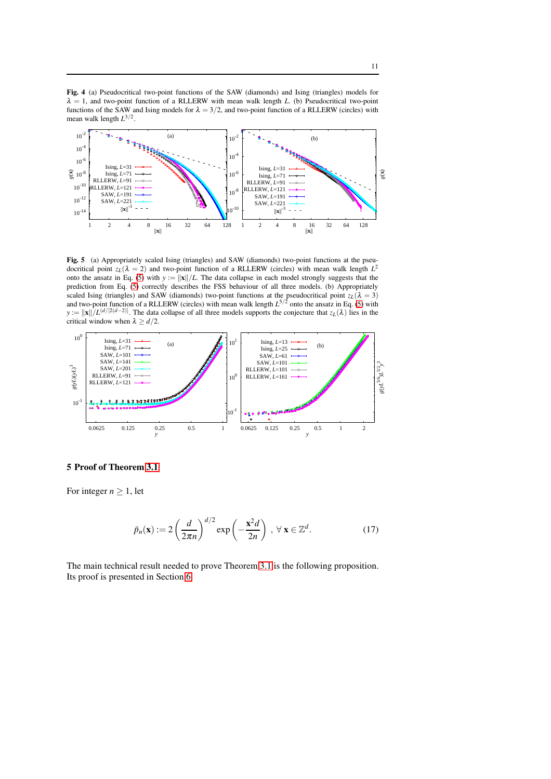<span id="page-10-1"></span>Fig. 4 (a) Pseudocritical two-point functions of the SAW (diamonds) and Ising (triangles) models for  $\lambda = 1$ , and two-point function of a RLLERW with mean walk length *L*. (b) Pseudocritical two-point functions of the SAW and Ising models for  $\lambda = 3/2$ , and two-point function of a RLLERW (circles) with mean walk length *L* 3/2 .



<span id="page-10-2"></span>Fig. 5 (a) Appropriately scaled Ising (triangles) and SAW (diamonds) two-point functions at the pseudocritical point  $z_L(\lambda = 2)$  and two-point function of a RLLERW (circles) with mean walk length  $L^2$ onto the ansatz in Eq. [\(5\)](#page-2-2) with  $y := ||x||/L$ . The data collapse in each model strongly suggests that the prediction from Eq. [\(5\)](#page-2-2) correctly describes the FSS behaviour of all three models. (b) Appropriately scaled Ising (triangles) and SAW (diamonds) two-point functions at the pseudocritical point  $z_L(\lambda = 3)$ and two-point function of a RLLERW (circles) with mean walk length  $L^{5/2}$  onto the ansatz in Eq. [\(5\)](#page-2-2) with  $y := ||x||/L^{(d/[2(d-2)]})$ . The data collapse of all three models supports the conjecture that *z<sub>L</sub>*( $\lambda$ ) lies in the critical window when  $\lambda \ge d/2$ .



## <span id="page-10-0"></span>5 Proof of Theorem [3.1](#page-4-0)

For integer  $n \geq 1$ , let

$$
\bar{p}_n(\mathbf{x}) := 2 \left( \frac{d}{2\pi n} \right)^{d/2} \exp\left( -\frac{\mathbf{x}^2 d}{2n} \right) , \ \forall \ \mathbf{x} \in \mathbb{Z}^d. \tag{17}
$$

The main technical result needed to prove Theorem [3.1](#page-4-0) is the following proposition. Its proof is presented in Section [6.](#page-13-0)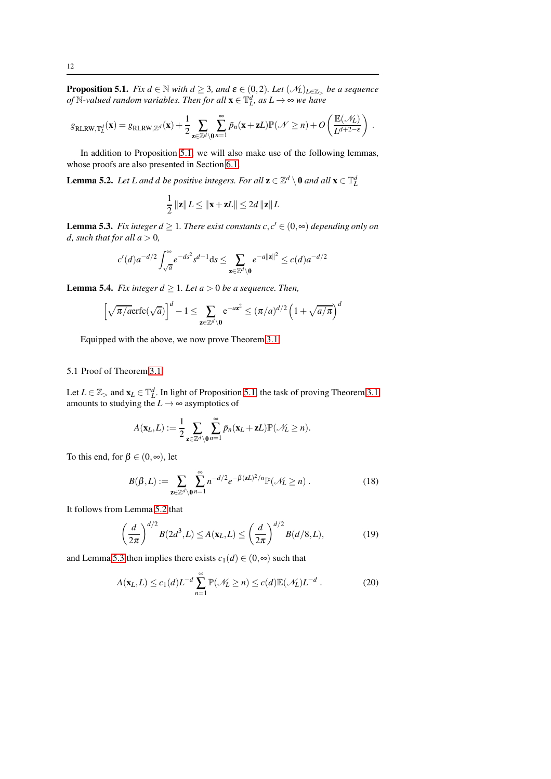<span id="page-11-0"></span>**Proposition 5.1.** *Fix d*  $\in$  N *with d*  $\geq$  3*, and*  $\epsilon$   $\in$   $(0,2)$ *. Let*  $(\mathcal{N}_L)_{L \in \mathbb{Z}_>}$  *be a sequence of*  $\mathbb{N}\text{-}$ valued random variables. Then for all  $\mathbf{x} \in \mathbb{T}^d_L$ , as  $L \to \infty$  we have

$$
g_{\text{RLRW},{\mathbb{T}}^d_L}(\mathbf{x}) = g_{\text{RLRW},{\mathbb{Z}}^d}(\mathbf{x}) + \frac{1}{2} \sum_{\mathbf{z} \in {\mathbb{Z}}^d \backslash \mathbf{0}} \sum_{n=1}^{\infty} \bar{p}_n(\mathbf{x} + \mathbf{z}L) {\mathbb{P}}({\mathcal{N}} \geq n) + O\left(\frac{{\mathbb{E}}({\mathcal{N}}_L)}{L^{d+2-\varepsilon}}\right).
$$

In addition to Proposition [5.1,](#page-11-0) we will also make use of the following lemmas, whose proofs are also presented in Section [6.1.](#page-17-0)

<span id="page-11-1"></span>**Lemma 5.2.** Let L and d be positive integers. For all  $\mathbf{z} \in \mathbb{Z}^d \setminus \mathbf{0}$  and all  $\mathbf{x} \in \mathbb{T}_L^d$ 

$$
\frac{1}{2} ||\mathbf{z}|| L \le ||\mathbf{x} + \mathbf{z}L|| \le 2d ||\mathbf{z}|| L
$$

<span id="page-11-2"></span>**Lemma 5.3.** *Fix integer*  $d \geq 1$ *. There exist constants*  $c, c' \in (0, \infty)$  *depending only on d, such that for all*  $a > 0$ *,* 

$$
c'(d)a^{-d/2} \int_{\sqrt{a}}^{\infty} e^{-ds^2} s^{d-1} ds \le \sum_{\mathbf{z} \in \mathbb{Z}^d \setminus \mathbf{0}} e^{-a||\mathbf{z}||^2} \le c(d)a^{-d/2}
$$

<span id="page-11-5"></span>**Lemma 5.4.** *Fix integer*  $d \geq 1$ *. Let*  $a > 0$  *be a sequence. Then,* 

$$
\left[\sqrt{\pi/a}\mathrm{erfc}(\sqrt{a})\right]^d - 1 \le \sum_{\mathbf{z}\in\mathbb{Z}^d\backslash\mathbf{0}} \mathrm{e}^{-a\mathbf{z}^2} \le (\pi/a)^{d/2} \left(1 + \sqrt{a/\pi}\right)^d
$$

Equipped with the above, we now prove Theorem [3.1.](#page-4-0)

# 5.1 Proof of Theorem [3.1](#page-4-0)

Let  $L \in \mathbb{Z}_>$  and  $\mathbf{x}_L \in \mathbb{T}_L^d$ . In light of Proposition [5.1,](#page-11-0) the task of proving Theorem [3.1](#page-4-0) amounts to studying the  $L \rightarrow \infty$  asymptotics of

$$
A(\mathbf{x}_L,L):=\frac{1}{2}\sum_{\mathbf{z}\in\mathbb{Z}^d\backslash\mathbf{0}}\sum_{n=1}^\infty \bar{p}_n(\mathbf{x}_L+\mathbf{z}L)\mathbb{P}(\mathcal{N}_L\geq n).
$$

To this end, for  $\beta \in (0, \infty)$ , let

$$
B(\beta, L) := \sum_{\mathbf{z} \in \mathbb{Z}^d \setminus \mathbf{0}} \sum_{n=1}^{\infty} n^{-d/2} e^{-\beta (\mathbf{z} L)^2 / n} \mathbb{P}(\mathcal{N}_L \ge n) \,. \tag{18}
$$

It follows from Lemma [5.2](#page-11-1) that

<span id="page-11-3"></span>
$$
\left(\frac{d}{2\pi}\right)^{d/2} B(2d^3, L) \le A(\mathbf{x}_L, L) \le \left(\frac{d}{2\pi}\right)^{d/2} B(d/8, L),\tag{19}
$$

and Lemma [5.3](#page-11-2) then implies there exists  $c_1(d) \in (0, \infty)$  such that

<span id="page-11-4"></span>
$$
A(\mathbf{x}_L, L) \le c_1(d)L^{-d} \sum_{n=1}^{\infty} \mathbb{P}(\mathcal{N}_L \ge n) \le c(d) \mathbb{E}(\mathcal{N}_L) L^{-d} . \tag{20}
$$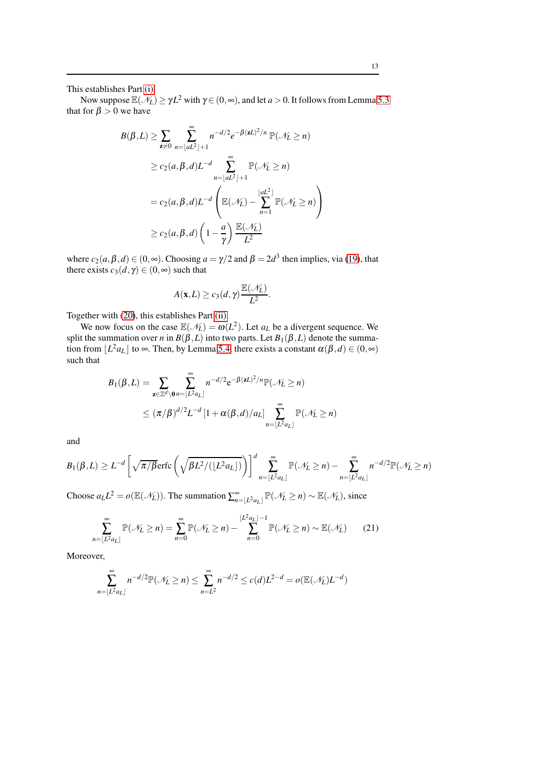This establishes Part [\(i\).](#page-4-1)

Now suppose  $\mathbb{E}(\mathcal{N}_L) \ge \gamma L^2$  with  $\gamma \in (0, \infty)$ , and let  $a > 0$ . It follows from Lemma [5.3](#page-11-2) that for  $\beta > 0$  we have

$$
B(\beta, L) \geq \sum_{\mathbf{z} \neq 0} \sum_{n=\lfloor aL^2 \rfloor + 1}^{\infty} n^{-d/2} e^{-\beta (\mathbf{z}L)^2/n} \mathbb{P}(\mathcal{N}_L \geq n)
$$
  
\n
$$
\geq c_2(a, \beta, d)L^{-d} \sum_{n=\lfloor aL^2 \rfloor + 1}^{\infty} \mathbb{P}(\mathcal{N}_L \geq n)
$$
  
\n
$$
= c_2(a, \beta, d)L^{-d} \left( \mathbb{E}(\mathcal{N}_L) - \sum_{n=1}^{\lfloor aL^2 \rfloor} \mathbb{P}(\mathcal{N}_L \geq n) \right)
$$
  
\n
$$
\geq c_2(a, \beta, d) \left( 1 - \frac{a}{\gamma} \right) \frac{\mathbb{E}(\mathcal{N}_L)}{L^2}
$$

where  $c_2(a, \beta, d) \in (0, \infty)$ . Choosing  $a = \gamma/2$  and  $\beta = 2d^3$  then implies, via [\(19\)](#page-11-3), that there exists  $c_3(d, \gamma) \in (0, \infty)$  such that

$$
A(\mathbf{x},L) \ge c_3(d,\gamma) \frac{\mathbb{E}(\mathcal{N}_L)}{L^2}.
$$

Together with [\(20\)](#page-11-4), this establishes Part [\(ii\).](#page-4-3)

We now focus on the case  $\mathbb{E}(\mathcal{N}_L) = \omega(L^2)$ . Let  $a_L$  be a divergent sequence. We split the summation over *n* in  $B(\beta, L)$  into two parts. Let  $B_1(\beta, L)$  denote the summation from  $\lfloor L^2 a_L \rfloor$  to  $\infty$ . Then, by Lemma [5.4,](#page-11-5) there exists a constant  $\alpha(\beta, d) \in (0, \infty)$ such that

$$
B_1(\beta, L) = \sum_{\mathbf{z} \in \mathbb{Z}^d \setminus \mathbf{0}} \sum_{n=\lfloor L^2 a_L \rfloor}^{\infty} n^{-d/2} e^{-\beta (\mathbf{z} L)^2/n} \mathbb{P}(\mathcal{N}_L \ge n)
$$
  
 
$$
\le (\pi/\beta)^{d/2} L^{-d} \left[1 + \alpha(\beta, d)/a_L\right] \sum_{n=\lfloor L^2 a_L \rfloor}^{\infty} \mathbb{P}(\mathcal{N}_L \ge n)
$$

and

$$
B_1(\beta, L) \geq L^{-d} \left[ \sqrt{\pi/\beta} \text{erfc}\left(\sqrt{\beta L^2/(\lfloor L^2 a_L \rfloor)}\right) \right]^d \sum_{n=\lfloor L^2 a_L \rfloor}^{\infty} \mathbb{P}(\mathcal{N}_L \geq n) - \sum_{n=\lfloor L^2 a_L \rfloor}^{\infty} n^{-d/2} \mathbb{P}(\mathcal{N}_L \geq n)
$$

Choose  $a_L L^2 = o(\mathbb{E}(\mathcal{N}_L))$ . The summation  $\sum_{n=\lfloor L^2 a_L \rfloor}^{\infty} \mathbb{P}(\mathcal{N}_L \ge n) \sim \mathbb{E}(\mathcal{N}_L)$ , since

$$
\sum_{n=\lfloor L^2 a_L \rfloor}^{\infty} \mathbb{P}(\mathcal{N}_L \ge n) = \sum_{n=0}^{\infty} \mathbb{P}(\mathcal{N}_L \ge n) - \sum_{n=0}^{\lfloor L^2 a_L \rfloor - 1} \mathbb{P}(\mathcal{N}_L \ge n) \sim \mathbb{E}(\mathcal{N}_L)
$$
(21)

Moreover,

$$
\sum_{n=\lfloor L^2 a_L \rfloor}^{\infty} n^{-d/2} \mathbb{P}(\mathcal{N}_L \ge n) \le \sum_{n=L^2}^{\infty} n^{-d/2} \le c(d) L^{2-d} = o(\mathbb{E}(\mathcal{N}_L) L^{-d})
$$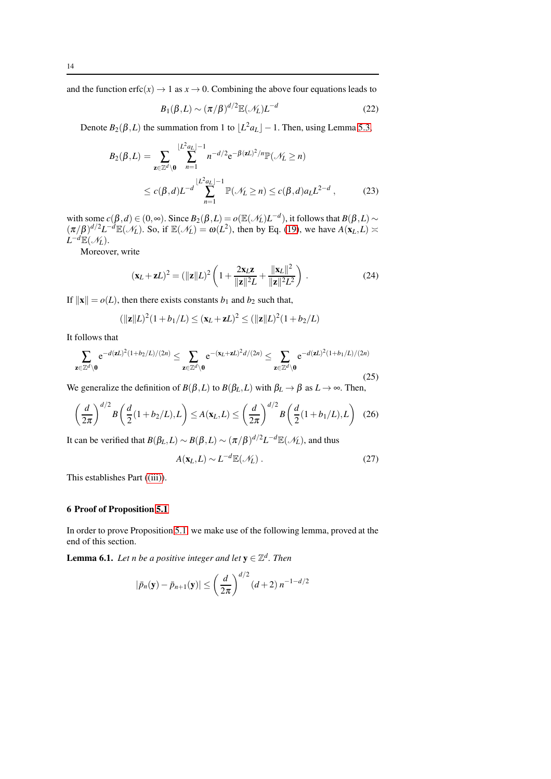and the function erfc( $x$ )  $\rightarrow$  1 as  $x \rightarrow 0$ . Combining the above four equations leads to

$$
B_1(\beta, L) \sim (\pi/\beta)^{d/2} \mathbb{E}(\mathcal{N}_L) L^{-d}
$$
 (22)

Denote  $B_2(\beta, L)$  the summation from 1 to  $\lfloor L^2 a_L \rfloor - 1$ . Then, using Lemma [5.3,](#page-11-2)

$$
B_2(\beta, L) = \sum_{\mathbf{z} \in \mathbb{Z}^d \setminus \mathbf{0}} \sum_{n=1}^{\lfloor L^2 a_L \rfloor - 1} n^{-d/2} e^{-\beta (\mathbf{z} L)^2 / n} \mathbb{P}(\mathcal{N}_L \ge n)
$$
  
 
$$
\le c(\beta, d) L^{-d} \sum_{n=1}^{\lfloor L^2 a_L \rfloor - 1} \mathbb{P}(\mathcal{N}_L \ge n) \le c(\beta, d) a_L L^{2-d} , \qquad (23)
$$

with some  $c(\beta, d) \in (0, \infty)$ . Since  $B_2(\beta, L) = o(\mathbb{E}(\mathcal{N}_L)L^{-d})$ , it follows that  $B(\beta, L) \sim$  $(\pi/\beta)^{d/2}L^{-d}\mathbb{E}(\mathcal{N}_L)$ . So, if  $\mathbb{E}(\mathcal{N}_L) = \omega(L^2)$ , then by Eq. [\(19\)](#page-11-3), we have  $A(\mathbf{x}_L,L) \approx$  $L^{-d} \mathbb{E}(\mathscr{N}_L)$ .

Moreover, write

$$
(\mathbf{x}_L + \mathbf{z}L)^2 = (\|\mathbf{z}\|L)^2 \left(1 + \frac{2\mathbf{x}_L \mathbf{z}}{\|\mathbf{z}\|^2 L} + \frac{\|\mathbf{x}_L\|^2}{\|\mathbf{z}\|^2 L^2}\right).
$$
 (24)

If  $\|\mathbf{x}\| = o(L)$ , then there exists constants  $b_1$  and  $b_2$  such that,

$$
(\|\mathbf{z}\|L)^2(1+b_1/L) \le (\mathbf{x}_L + \mathbf{z}L)^2 \le (\|\mathbf{z}\|L)^2(1+b_2/L)
$$

It follows that

$$
\sum_{\mathbf{z}\in\mathbb{Z}^d\backslash\mathbf{0}}e^{-d(\mathbf{z}L)^2(1+b_2/L)/(2n)} \leq \sum_{\mathbf{z}\in\mathbb{Z}^d\backslash\mathbf{0}}e^{-(\mathbf{x}_L+\mathbf{z}L)^2d/(2n)} \leq \sum_{\mathbf{z}\in\mathbb{Z}^d\backslash\mathbf{0}}e^{-d(\mathbf{z}L)^2(1+b_1/L)/(2n)}\tag{25}
$$

We generalize the definition of  $B(\beta, L)$  to  $B(\beta_L, L)$  with  $\beta_L \rightarrow \beta$  as  $L \rightarrow \infty$ . Then,

$$
\left(\frac{d}{2\pi}\right)^{d/2} B\left(\frac{d}{2}(1+b_2/L), L\right) \le A(\mathbf{x}_L, L) \le \left(\frac{d}{2\pi}\right)^{d/2} B\left(\frac{d}{2}(1+b_1/L), L\right) \tag{26}
$$

It can be verified that  $B(\beta_L, L) \sim B(\beta, L) \sim (\pi/\beta)^{d/2} L^{-d} \mathbb{E}(\mathcal{N}_L)$ , and thus

$$
A(\mathbf{x}_L, L) \sim L^{-d} \mathbb{E}(\mathcal{N}_L) \,. \tag{27}
$$

This establishes Part [\(\(iii\)\)](#page-4-2).

#### <span id="page-13-0"></span>6 Proof of Proposition [5.1](#page-11-0)

In order to prove Proposition [5.1,](#page-11-0) we make use of the following lemma, proved at the end of this section.

<span id="page-13-1"></span>**Lemma 6.1.** Let n be a positive integer and let  $y \in \mathbb{Z}^d$ . Then

$$
|\bar{p}_n(\mathbf{y}) - \bar{p}_{n+1}(\mathbf{y})| \le \left(\frac{d}{2\pi}\right)^{d/2} (d+2) n^{-1-d/2}
$$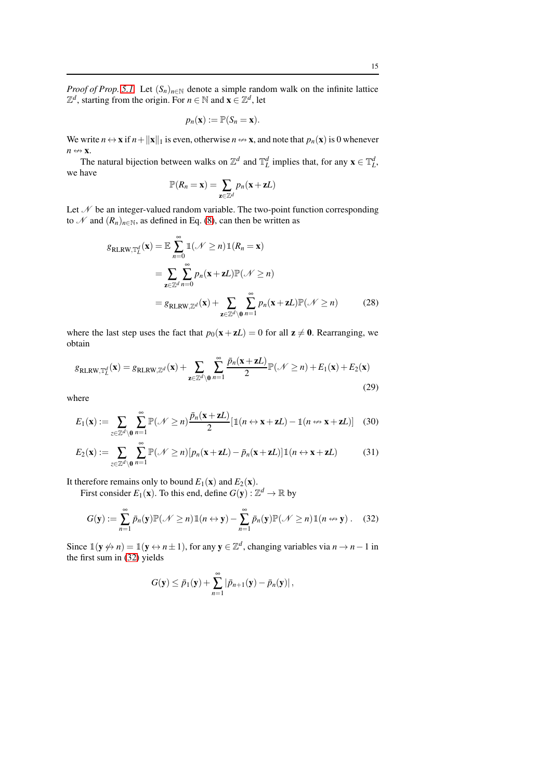*Proof of Prop.* [5.1.](#page-11-0) Let  $(S_n)_{n \in \mathbb{N}}$  denote a simple random walk on the infinite lattice  $\mathbb{Z}^d$ , starting from the origin. For *n*  $\in \mathbb{N}$  and  $\mathbf{x} \in \mathbb{Z}^d$ , let

$$
p_n(\mathbf{x}) := \mathbb{P}(S_n = \mathbf{x}).
$$

We write  $n \leftrightarrow x$  if  $n + ||x||_1$  is even, otherwise  $n \leftrightarrow x$ , and note that  $p_n(x)$  is 0 whenever  $n \leftrightarrow$ **x**.

The natural bijection between walks on  $\mathbb{Z}^d$  and  $\mathbb{T}^d_L$  implies that, for any  $\mathbf{x} \in \mathbb{T}^d_L$ , we have

$$
\mathbb{P}(R_n=\mathbf{x})=\sum_{\mathbf{z}\in\mathbb{Z}^d}p_n(\mathbf{x}+\mathbf{z}L)
$$

Let  $\mathcal N$  be an integer-valued random variable. The two-point function corresponding to N and  $(R_n)_{n \in \mathbb{N}}$ , as defined in Eq. [\(8\)](#page-3-1), can then be written as

$$
g_{RLRW, \mathbb{T}_L^d}(\mathbf{x}) = \mathbb{E} \sum_{n=0}^{\infty} \mathbb{1}(\mathcal{N} \ge n) \mathbb{1}(R_n = \mathbf{x})
$$
  
= 
$$
\sum_{\mathbf{z} \in \mathbb{Z}^d} \sum_{n=0}^{\infty} p_n(\mathbf{x} + \mathbf{z}L) \mathbb{P}(\mathcal{N} \ge n)
$$
  
= 
$$
g_{RLRW, \mathbb{Z}^d}(\mathbf{x}) + \sum_{\mathbf{z} \in \mathbb{Z}^d \setminus \mathbf{0}} \sum_{n=1}^{\infty} p_n(\mathbf{x} + \mathbf{z}L) \mathbb{P}(\mathcal{N} \ge n)
$$
(28)

where the last step uses the fact that  $p_0(x + zL) = 0$  for all  $z \neq 0$ . Rearranging, we obtain

<span id="page-14-1"></span>
$$
g_{\text{RLRW,T}_L^d}(\mathbf{x}) = g_{\text{RLRW,Z}^d}(\mathbf{x}) + \sum_{\mathbf{z} \in \mathbb{Z}^d \setminus \mathbf{0}} \sum_{n=1}^{\infty} \frac{\bar{p}_n(\mathbf{x} + \mathbf{z}L)}{2} \mathbb{P}(\mathcal{N} \ge n) + E_1(\mathbf{x}) + E_2(\mathbf{x})
$$
\n(29)

where

$$
E_1(\mathbf{x}) := \sum_{z \in \mathbb{Z}^d \setminus \mathbf{0}} \sum_{n=1}^{\infty} \mathbb{P}(\mathcal{N} \ge n) \frac{\bar{p}_n(\mathbf{x} + \mathbf{z}L)}{2} [\mathbb{1}(n \leftrightarrow \mathbf{x} + \mathbf{z}L) - \mathbb{1}(n \leftrightarrow \mathbf{x} + \mathbf{z}L)] \quad (30)
$$

$$
E_2(\mathbf{x}) := \sum_{z \in \mathbb{Z}^d \setminus \mathbf{0}} \sum_{n=1}^{\infty} \mathbb{P}(\mathcal{N} \ge n) [p_n(\mathbf{x} + \mathbf{z}L) - \bar{p}_n(\mathbf{x} + \mathbf{z}L)] \mathbb{1}(n \leftrightarrow \mathbf{x} + \mathbf{z}L)
$$
(31)

It therefore remains only to bound  $E_1(\mathbf{x})$  and  $E_2(\mathbf{x})$ .

First consider  $E_1(\mathbf{x})$ . To this end, define  $G(\mathbf{y}) : \mathbb{Z}^d \to \mathbb{R}$  by

<span id="page-14-0"></span>
$$
G(\mathbf{y}) := \sum_{n=1}^{\infty} \bar{p}_n(\mathbf{y}) \mathbb{P}(\mathcal{N} \ge n) \mathbb{1}(n \leftrightarrow \mathbf{y}) - \sum_{n=1}^{\infty} \bar{p}_n(\mathbf{y}) \mathbb{P}(\mathcal{N} \ge n) \mathbb{1}(n \leftrightarrow \mathbf{y}). \quad (32)
$$

Since  $\mathbb{1}(\mathbf{y} \nleftrightarrow n) = \mathbb{1}(\mathbf{y} \leftrightarrow n \pm 1)$ , for any  $\mathbf{y} \in \mathbb{Z}^d$ , changing variables via  $n \to n-1$  in the first sum in [\(32\)](#page-14-0) yields

$$
G(\mathbf{y}) \leq \bar{p}_1(\mathbf{y}) + \sum_{n=1}^{\infty} |\bar{p}_{n+1}(\mathbf{y}) - \bar{p}_n(\mathbf{y})|,
$$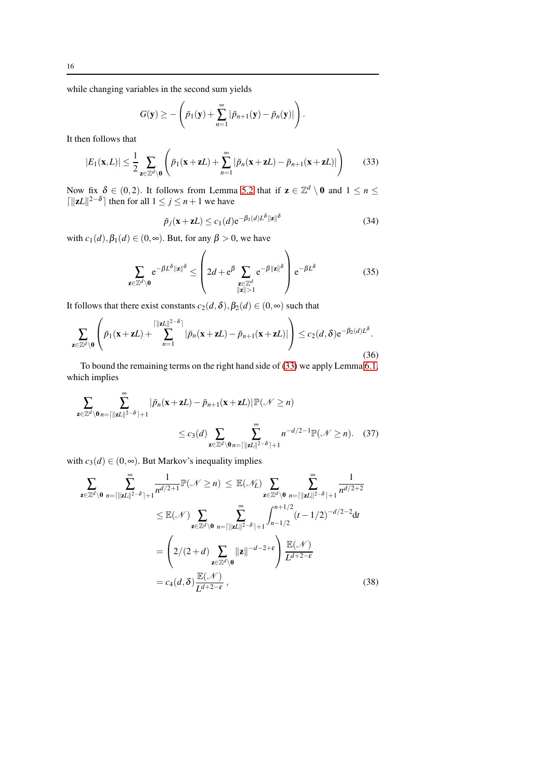while changing variables in the second sum yields

<span id="page-15-0"></span>
$$
G(\mathbf{y}) \geq -\left(\bar{p}_1(\mathbf{y}) + \sum_{n=1}^{\infty} |\bar{p}_{n+1}(\mathbf{y}) - \bar{p}_n(\mathbf{y})|\right).
$$

It then follows that

$$
|E_1(\mathbf{x}, L)| \leq \frac{1}{2} \sum_{\mathbf{z} \in \mathbb{Z}^d \setminus \mathbf{0}} \left( \bar{p}_1(\mathbf{x} + \mathbf{z}L) + \sum_{n=1}^{\infty} |\bar{p}_n(\mathbf{x} + \mathbf{z}L) - \bar{p}_{n+1}(\mathbf{x} + \mathbf{z}L)| \right)
$$
(33)

Now fix  $\delta \in (0,2)$ . It follows from Lemma [5.2](#page-11-1) that if  $\mathbf{z} \in \mathbb{Z}^d \setminus \mathbf{0}$  and  $1 \le n \le 1$  $\lceil ||zL||^{2-\delta} \rceil$  then for all  $1 \le j \le n+1$  we have

<span id="page-15-5"></span><span id="page-15-4"></span><span id="page-15-1"></span>
$$
\bar{p}_j(\mathbf{x} + \mathbf{z}L) \le c_1(d) e^{-\beta_1(d)L^{\delta} ||\mathbf{z}||^{\delta}}
$$
\n(34)

with  $c_1(d)$ ,  $\beta_1(d) \in (0, \infty)$ . But, for any  $\beta > 0$ , we have

$$
\sum_{\mathbf{z}\in\mathbb{Z}^d\setminus\mathbf{0}} e^{-\beta L^\delta \|\mathbf{z}\|^\delta} \le \left(2d + e^{\beta} \sum_{\substack{\mathbf{z}\in\mathbb{Z}^d\\ \|\mathbf{z}\|>1}} e^{-\beta \|\mathbf{z}\|^\delta} \right) e^{-\beta L^\delta} \tag{35}
$$

It follows that there exist constants  $c_2(d,\delta), \beta_2(d) \in (0,\infty)$  such that

$$
\sum_{\mathbf{z}\in\mathbb{Z}^d\setminus\mathbf{0}}\left(\bar{p}_1(\mathbf{x}+\mathbf{z}L)+\sum_{n=1}^{\lceil||\mathbf{z}L||^{2-\delta}\rceil}|\bar{p}_n(\mathbf{x}+\mathbf{z}L)-\bar{p}_{n+1}(\mathbf{x}+\mathbf{z}L)|\right)\leq c_2(d,\delta)e^{-\beta_2(d)L^{\delta}}.\tag{36}
$$

To bound the remaining terms on the right hand side of [\(33\)](#page-15-0) we apply Lemma [6.1,](#page-13-1) which implies

$$
\sum_{\mathbf{z}\in\mathbb{Z}^d\backslash\mathbf{0}}\sum_{n=\lfloor\|\mathbf{z}L\|^2-\delta\rfloor+1}^{\infty}| \bar{p}_n(\mathbf{x}+\mathbf{z}L)-\bar{p}_{n+1}(\mathbf{x}+\mathbf{z}L)|\mathbb{P}(\mathcal{N}\geq n)
$$
\n
$$
\leq c_3(d)\sum_{\mathbf{z}\in\mathbb{Z}^d\backslash\mathbf{0}}\sum_{n=\lceil\|\mathbf{z}L\|^2-\delta\rceil+1}^{\infty}n^{-d/2-1}\mathbb{P}(\mathcal{N}\geq n). \quad (37)
$$

with  $c_3(d) \in (0, \infty)$ . But Markov's inequality implies

<span id="page-15-3"></span><span id="page-15-2"></span>
$$
\sum_{\mathbf{z}\in\mathbb{Z}^d\backslash\mathbf{0}}\sum_{n=\lceil ||\mathbf{z}L||^{2-\delta}\rceil+1}^{\infty} \frac{1}{n^{d/2+1}}\mathbb{P}(\mathcal{N}\geq n) \leq \mathbb{E}(\mathcal{N}_L) \sum_{\mathbf{z}\in\mathbb{Z}^d\backslash\mathbf{0}}\sum_{n=\lceil ||\mathbf{z}L||^{2-\delta}\rceil+1}^{\infty} \frac{1}{n^{d/2+2}} \n\leq \mathbb{E}(\mathcal{N}) \sum_{\mathbf{z}\in\mathbb{Z}^d\backslash\mathbf{0}}^{\infty} \sum_{n=\lceil ||\mathbf{z}||^{2-\delta}\rceil+1}^{\infty} \int_{n-1/2}^{n+1/2} (t-1/2)^{-d/2-2} \mathrm{d}t \n= \left(2/(2+d) \sum_{\mathbf{z}\in\mathbb{Z}^d\backslash\mathbf{0}}^{\infty} ||\mathbf{z}||^{-d-2+\epsilon} \right) \frac{\mathbb{E}(\mathcal{N})}{L^{d+2-\epsilon}} \n= c_4(d,\delta) \frac{\mathbb{E}(\mathcal{N})}{L^{d+2-\epsilon}},
$$
\n(38)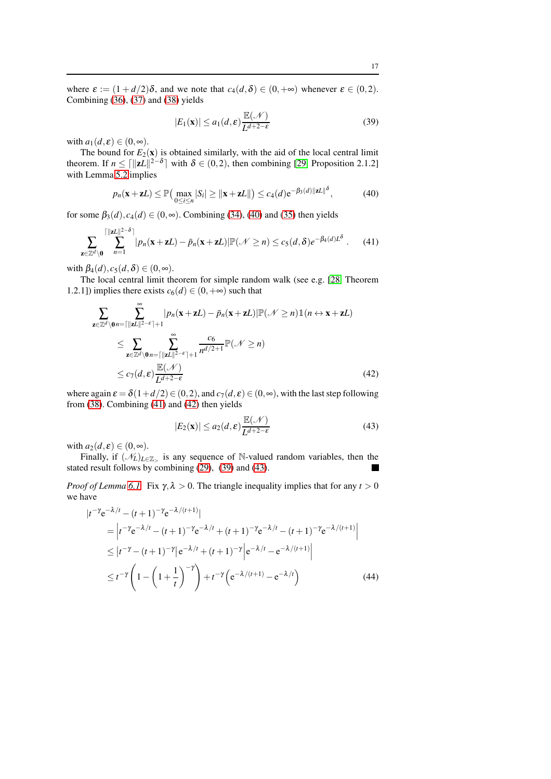where  $\varepsilon := (1 + d/2)\delta$ , and we note that  $c_4(d, \delta) \in (0, +\infty)$  whenever  $\varepsilon \in (0, 2)$ . Combining [\(36\)](#page-15-1), [\(37\)](#page-15-2) and [\(38\)](#page-15-3) yields

<span id="page-16-3"></span><span id="page-16-1"></span>
$$
|E_1(\mathbf{x})| \le a_1(d,\varepsilon) \frac{\mathbb{E}(\mathcal{N})}{L^{d+2-\varepsilon}}
$$
 (39)

with  $a_1(d, \varepsilon) \in (0, \infty)$ .

The bound for  $E_2(\mathbf{x})$  is obtained similarly, with the aid of the local central limit theorem. If  $n \le ||\mathbf{z}L||^{2-\delta}$  with  $\delta \in (0,2)$ , then combining [\[29,](#page-20-3) Proposition 2.1.2] with Lemma [5.2](#page-11-1) implies

<span id="page-16-0"></span>
$$
p_n(\mathbf{x} + \mathbf{z}L) \le \mathbb{P}\left(\max_{0 \le i \le n} |S_i| \ge ||\mathbf{x} + \mathbf{z}L||\right) \le c_4(d) e^{-\beta_3(d)||\mathbf{z}L||^\delta},\tag{40}
$$

for some  $\beta_3(d)$ ,  $c_4(d) \in (0, \infty)$ . Combining [\(34\)](#page-15-4), [\(40\)](#page-16-0) and [\(35\)](#page-15-5) then yields

$$
\sum_{\mathbf{z}\in\mathbb{Z}^d\backslash\mathbf{0}}\left|\sum_{n=1}^{\lceil|\mathbf{z}L|\rceil^{2-\delta}\rceil}|p_n(\mathbf{x}+\mathbf{z}L)-\bar{p}_n(\mathbf{x}+\mathbf{z}L)|\mathbb{P}(\mathcal{N}\geq n)\leq c_5(d,\delta)e^{-\beta_4(d)L^{\delta}}\right|.\tag{41}
$$

with  $\beta_4(d), c_5(d, \delta) \in (0, \infty)$ .

The local central limit theorem for simple random walk (see e.g. [\[28,](#page-20-2) Theorem 1.2.1]) implies there exists  $c_6(d) \in (0, +\infty)$  such that

$$
\sum_{\mathbf{z}\in\mathbb{Z}^d\backslash\mathbf{0}}\sum_{n=\lceil ||\mathbf{z}L||^{2-\varepsilon}\rceil+1}^{\infty} |p_n(\mathbf{x}+\mathbf{z}L)-\bar{p}_n(\mathbf{x}+\mathbf{z}L)||\mathbb{P}(\mathcal{N}\geq n)\mathbb{1}(n\leftrightarrow\mathbf{x}+\mathbf{z}L)
$$
\n
$$
\leq \sum_{\mathbf{z}\in\mathbb{Z}^d\backslash\mathbf{0}}\sum_{n=\lceil ||\mathbf{z}L||^{2-\varepsilon}\rceil+1}^{\infty} \frac{c_6}{n^{d/2+1}}\mathbb{P}(\mathcal{N}\geq n)
$$
\n
$$
\leq c_7(d,\varepsilon)\frac{\mathbb{E}(\mathcal{N})}{L^{d+2-\varepsilon}}
$$
\n(42)

where again  $\varepsilon = \delta(1+d/2) \in (0,2)$ , and  $c_7(d,\varepsilon) \in (0,\infty)$ , with the last step following from [\(38\)](#page-15-3). Combining [\(41\)](#page-16-1) and [\(42\)](#page-16-2) then yields

<span id="page-16-5"></span><span id="page-16-4"></span><span id="page-16-2"></span>
$$
|E_2(\mathbf{x})| \le a_2(d,\varepsilon) \frac{\mathbb{E}(\mathcal{N})}{L^{d+2-\varepsilon}}
$$
\n(43)

with  $a_2(d, \varepsilon) \in (0, \infty)$ .

Finally, if  $(\mathcal{N}_L)_{L\in\mathbb{Z}_>}$  is any sequence of N-valued random variables, then the stated result follows by combining [\(29\)](#page-14-1), [\(39\)](#page-16-3) and [\(43\)](#page-16-4).  $\blacksquare$ 

*Proof of Lemma* [6.1.](#page-13-1) Fix  $\gamma$ ,  $\lambda > 0$ . The triangle inequality implies that for any  $t > 0$ we have

$$
|t^{-\gamma}e^{-\lambda/t} - (t+1)^{-\gamma}e^{-\lambda/(t+1)}|
$$
  
\n
$$
= |t^{-\gamma}e^{-\lambda/t} - (t+1)^{-\gamma}e^{-\lambda/t} + (t+1)^{-\gamma}e^{-\lambda/t} - (t+1)^{-\gamma}e^{-\lambda/(t+1)}|
$$
  
\n
$$
\leq |t^{-\gamma} - (t+1)^{-\gamma}|e^{-\lambda/t} + (t+1)^{-\gamma}|e^{-\lambda/t} - e^{-\lambda/(t+1)}|
$$
  
\n
$$
\leq t^{-\gamma}\left(1 - \left(1 + \frac{1}{t}\right)^{-\gamma}\right) + t^{-\gamma}\left(e^{-\lambda/(t+1)} - e^{-\lambda/t}\right)
$$
(44)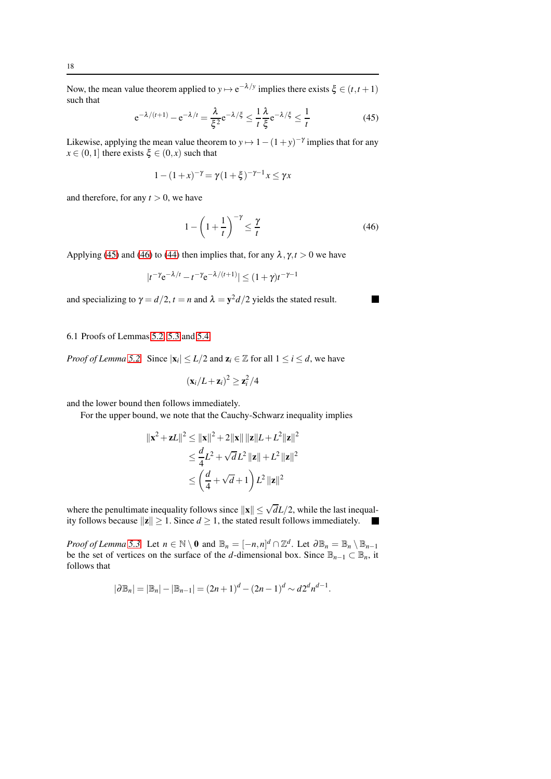Now, the mean value theorem applied to  $y \mapsto e^{-\lambda/y}$  implies there exists  $\xi \in (t, t+1)$ such that

<span id="page-17-1"></span>
$$
e^{-\lambda/(t+1)} - e^{-\lambda/t} = \frac{\lambda}{\xi^2} e^{-\lambda/\xi} \le \frac{1}{t} \frac{\lambda}{\xi} e^{-\lambda/\xi} \le \frac{1}{t}
$$
 (45)

Likewise, applying the mean value theorem to  $y \mapsto 1 - (1 + y)^{-\gamma}$  implies that for any  $x \in (0,1]$  there exists  $\xi \in (0,x)$  such that

$$
1 - (1 + x)^{-\gamma} = \gamma (1 + \xi)^{-\gamma - 1} x \le \gamma x
$$

and therefore, for any  $t > 0$ , we have

<span id="page-17-2"></span>
$$
1 - \left(1 + \frac{1}{t}\right)^{-\gamma} \le \frac{\gamma}{t} \tag{46}
$$

Applying [\(45\)](#page-17-1) and [\(46\)](#page-17-2) to [\(44\)](#page-16-5) then implies that, for any  $\lambda$ ,  $\gamma$ ,  $t > 0$  we have

$$
|t^{-\gamma}e^{-\lambda/t}-t^{-\gamma}e^{-\lambda/(t+1)}|\leq (1+\gamma)t^{-\gamma-1}
$$

and specializing to  $\gamma = d/2$ ,  $t = n$  and  $\lambda = y^2 d/2$  yields the stated result.

<span id="page-17-0"></span>6.1 Proofs of Lemmas [5.2,](#page-11-1) [5.3](#page-11-2) and [5.4](#page-11-5)

*Proof of Lemma* [5.2.](#page-11-1) Since  $|\mathbf{x}_i| \le L/2$  and  $\mathbf{z}_i \in \mathbb{Z}$  for all  $1 \le i \le d$ , we have

$$
(\mathbf{x}_i/L+\mathbf{z}_i)^2\geq \mathbf{z}_i^2/4
$$

and the lower bound then follows immediately.

For the upper bound, we note that the Cauchy-Schwarz inequality implies

$$
\|\mathbf{x}^2 + \mathbf{z}L\|^2 \le \|\mathbf{x}\|^2 + 2\|\mathbf{x}\| \|\mathbf{z}\|L + L^2 \|\mathbf{z}\|^2
$$
  
\n
$$
\le \frac{d}{4}L^2 + \sqrt{d}L^2 \|\mathbf{z}\| + L^2 \|\mathbf{z}\|^2
$$
  
\n
$$
\le \left(\frac{d}{4} + \sqrt{d} + 1\right)L^2 \|\mathbf{z}\|^2
$$

where the penultimate inequality follows since  $\|\mathbf{x}\| \leq \sqrt{d}L/2$ , while the last inequality follows because  $\|\mathbf{z}\| \geq 1$ . Since  $d \geq 1$ , the stated result follows immediately. 

*Proof of Lemma* [5.3.](#page-11-2) Let  $n \in \mathbb{N} \setminus \mathbf{0}$  and  $\mathbb{B}_n = [-n, n]^d \cap \mathbb{Z}^d$ . Let  $\partial \mathbb{B}_n = \mathbb{B}_n \setminus \mathbb{B}_{n-1}$ be the set of vertices on the surface of the *d*-dimensional box. Since  $\mathbb{B}_{n-1} \subset \mathbb{B}_n$ , it follows that

$$
|\partial \mathbb{B}_n| = |\mathbb{B}_n| - |\mathbb{B}_{n-1}| = (2n+1)^d - (2n-1)^d \sim d2^d n^{d-1}.
$$

 $\blacksquare$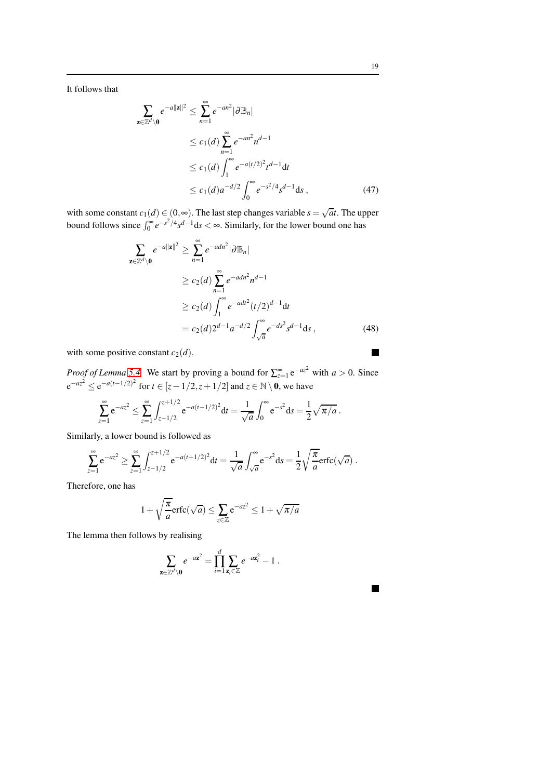It follows that

$$
\sum_{\mathbf{z} \in \mathbb{Z}^d \setminus \mathbf{0}} e^{-a||\mathbf{z}||^2} \le \sum_{n=1}^{\infty} e^{-an^2} |\partial \mathbb{B}_n|
$$
  
\n
$$
\le c_1(d) \sum_{n=1}^{\infty} e^{-an^2} n^{d-1}
$$
  
\n
$$
\le c_1(d) \int_1^{\infty} e^{-a(t/2)^2} t^{d-1} dt
$$
  
\n
$$
\le c_1(d) a^{-d/2} \int_0^{\infty} e^{-s^2/4} s^{d-1} ds , \qquad (47)
$$

with some constant  $c_1(d) \in (0, \infty)$ . The last step changes variable  $s = \sqrt{at}$ . The upper bound follows since  $\int_0^\infty e^{-s^2/4} s^{d-1} ds < \infty$ . Similarly, for the lower bound one has

$$
\sum_{\mathbf{z} \in \mathbb{Z}^d \setminus \mathbf{0}} e^{-a\|\mathbf{z}\|^2} \ge \sum_{n=1}^{\infty} e^{-adn^2} |\partial \mathbb{B}_n|
$$
  
\n
$$
\ge c_2(d) \sum_{n=1}^{\infty} e^{-adn^2} n^{d-1}
$$
  
\n
$$
\ge c_2(d) \int_1^{\infty} e^{-adt^2} (t/2)^{d-1} dt
$$
  
\n
$$
= c_2(d) 2^{d-1} a^{-d/2} \int_{\sqrt{a}}^{\infty} e^{-ds^2} s^{d-1} ds , \qquad (48)
$$

with some positive constant  $c_2(d)$ .

*Proof of Lemma* [5.4.](#page-11-5) We start by proving a bound for  $\sum_{z=1}^{\infty} e^{-az^2}$  with  $a > 0$ . Since  $e^{-az^2} \le e^{-a(t-1/2)^2}$  for  $t \in [z-1/2, z+1/2]$  and  $z \in \mathbb{N} \setminus \mathbf{0}$ , we have

$$
\sum_{z=1}^{\infty} e^{-az^2} \le \sum_{z=1}^{\infty} \int_{z-1/2}^{z+1/2} e^{-a(t-1/2)^2} dt = \frac{1}{\sqrt{a}} \int_0^{\infty} e^{-s^2} ds = \frac{1}{2} \sqrt{\pi/a}.
$$

Similarly, a lower bound is followed as

$$
\sum_{z=1}^{\infty} e^{-az^2} \ge \sum_{z=1}^{\infty} \int_{z-1/2}^{z+1/2} e^{-a(t+1/2)^2} dt = \frac{1}{\sqrt{a}} \int_{\sqrt{a}}^{\infty} e^{-s^2} ds = \frac{1}{2} \sqrt{\frac{\pi}{a}} \text{erfc}(\sqrt{a}).
$$

Therefore, one has

$$
1 + \sqrt{\frac{\pi}{a}} \text{erfc}(\sqrt{a}) \le \sum_{z \in \mathbb{Z}} e^{-az^2} \le 1 + \sqrt{\pi/a}
$$

The lemma then follows by realising

$$
\sum_{\mathbf{z}\in\mathbb{Z}^d\setminus\mathbf{0}}e^{-a\mathbf{z}^2}=\prod_{i=1}^d\sum_{\mathbf{z}_i\in\mathbb{Z}}e^{-a\mathbf{z}_i^2}-1.
$$

 $\blacksquare$ 

 $\blacksquare$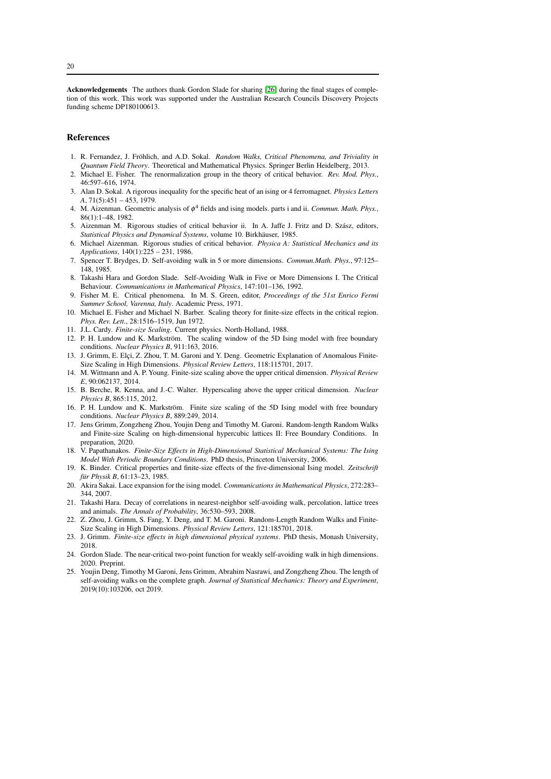Acknowledgements The authors thank Gordon Slade for sharing [\[26\]](#page-20-0) during the final stages of completion of this work. This work was supported under the Australian Research Councils Discovery Projects funding scheme DP180100613.

## References

- <span id="page-19-0"></span>1. R. Fernandez, J. Fröhlich, and A.D. Sokal. *Random Walks, Critical Phenomena, and Triviality in Quantum Field Theory*. Theoretical and Mathematical Physics. Springer Berlin Heidelberg, 2013.
- <span id="page-19-2"></span><span id="page-19-1"></span>2. Michael E. Fisher. The renormalization group in the theory of critical behavior. *Rev. Mod. Phys.*, 46:597–616, 1974.
- 3. Alan D. Sokal. A rigorous inequality for the specific heat of an ising or 4 ferromagnet. *Physics Letters A*, 71(5):451 – 453, 1979.
- <span id="page-19-3"></span>4. M. Aizenman. Geometric analysis of φ <sup>4</sup> fields and ising models. parts i and ii. *Commun. Math. Phys.*, 86(1):1–48, 1982.
- <span id="page-19-4"></span>5. Aizenman M. Rigorous studies of critical behavior ii. In A. Jaffe J. Fritz and D. Szász, editors, *Statistical Physics and Dynamical Systems*, volume 10. Birkhäuser, 1985.
- <span id="page-19-5"></span>6. Michael Aizenman. Rigorous studies of critical behavior. *Physica A: Statistical Mechanics and its Applications*, 140(1):225 – 231, 1986.
- <span id="page-19-6"></span>7. Spencer T. Brydges, D. Self-avoiding walk in 5 or more dimensions. *Commun.Math. Phys.*, 97:125– 148, 1985.
- <span id="page-19-7"></span>8. Takashi Hara and Gordon Slade. Self-Avoiding Walk in Five or More Dimensions I. The Critical Behaviour. *Communications in Mathematical Physics*, 147:101–136, 1992.
- <span id="page-19-8"></span>9. Fisher M. E. Critical phenomena. In M. S. Green, editor, *Proceedings of the 51st Enrico Fermi Summer School, Varenna, Italy*. Academic Press, 1971.
- <span id="page-19-9"></span>10. Michael E. Fisher and Michael N. Barber. Scaling theory for finite-size effects in the critical region. *Phys. Rev. Lett.*, 28:1516–1519, Jun 1972.
- <span id="page-19-11"></span><span id="page-19-10"></span>11. J.L. Cardy. *Finite-size Scaling*. Current physics. North-Holland, 1988.
- 12. P. H. Lundow and K. Markström. The scaling window of the 5D Ising model with free boundary conditions. *Nuclear Physics B*, 911:163, 2016.
- <span id="page-19-12"></span>13. J. Grimm, E. Elçi, Z. Zhou, T. M. Garoni and Y. Deng. Geometric Explanation of Anomalous Finite-Size Scaling in High Dimensions. *Physical Review Letters*, 118:115701, 2017.
- <span id="page-19-13"></span>14. M. Wittmann and A. P. Young. Finite-size scaling above the upper critical dimension. *Physical Review E*, 90:062137, 2014.
- <span id="page-19-14"></span>15. B. Berche, R. Kenna, and J.-C. Walter. Hyperscaling above the upper critical dimension. *Nuclear Physics B*, 865:115, 2012.
- <span id="page-19-15"></span>16. P. H. Lundow and K. Markström. Finite size scaling of the 5D Ising model with free boundary conditions. *Nuclear Physics B*, 889:249, 2014.
- <span id="page-19-16"></span>17. Jens Grimm, Zongzheng Zhou, Youjin Deng and Timothy M. Garoni. Random-length Random Walks and Finite-size Scaling on high-dimensional hypercubic lattices II: Free Boundary Conditions. In preparation, 2020.
- <span id="page-19-17"></span>18. V. Papathanakos. *Finite-Size Effects in High-Dimensional Statistical Mechanical Systems: The Ising Model With Periodic Boundary Conditions*. PhD thesis, Princeton University, 2006.
- <span id="page-19-18"></span>19. K. Binder. Critical properties and finite-size effects of the five-dimensional Ising model. *Zeitschrift für Physik B*, 61:13-23, 1985.
- <span id="page-19-19"></span>20. Akira Sakai. Lace expansion for the ising model. *Communications in Mathematical Physics*, 272:283– 344, 2007.
- <span id="page-19-20"></span>21. Takashi Hara. Decay of correlations in nearest-neighbor self-avoiding walk, percolation, lattice trees and animals. *The Annals of Probability*, 36:530–593, 2008.
- <span id="page-19-21"></span>22. Z. Zhou, J. Grimm, S. Fang, Y. Deng, and T. M. Garoni. Random-Length Random Walks and Finite-Size Scaling in High Dimensions. *Physical Review Letters*, 121:185701, 2018.
- <span id="page-19-22"></span>23. J. Grimm. *Finite-size effects in high dimensional physical systems*. PhD thesis, Monash University, 2018.
- <span id="page-19-23"></span>24. Gordon Slade. The near-critical two-point function for weakly self-avoiding walk in high dimensions. 2020. Preprint.
- <span id="page-19-24"></span>25. Youjin Deng, Timothy M Garoni, Jens Grimm, Abrahim Nasrawi, and Zongzheng Zhou. The length of self-avoiding walks on the complete graph. *Journal of Statistical Mechanics: Theory and Experiment*, 2019(10):103206, oct 2019.